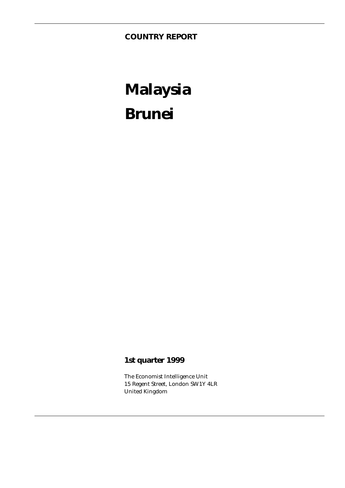**COUNTRY REPORT**

# **Malaysia Brunei**

### **1st quarter 1999**

The Economist Intelligence Unit 15 Regent Street, London SW1Y 4LR United Kingdom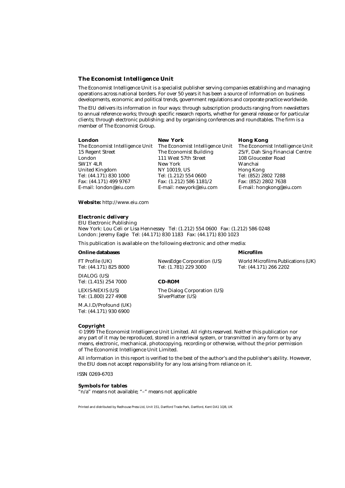#### **The Economist Intelligence Unit**

The Economist Intelligence Unit is a specialist publisher serving companies establishing and managing operations across national borders. For over 50 years it has been a source of information on business developments, economic and political trends, government regulations and corporate practice worldwide.

The EIU delivers its information in four ways: through subscription products ranging from newsletters to annual reference works; through specific research reports, whether for general release or for particular clients; through electronic publishing; and by organising conferences and roundtables. The firm is a member of The Economist Group.

| longon |
|--------|
|        |

London 111 West 57th Street 108 Gloucester Road SW1Y 4LR New York Wanchai<br>
United Kingdom NY 10019, US Hong Kong United Kingdom NY 10019, US Hong Kong Tel: (44.171) 830 1000 Tel: (1.212) 554 0600 Tel: (852) 2802 7288 Fax: (44.171) 499 9767<br>E-mail: london@eiu.com

**London New York Hong Kong** E-mail: newyork@eiu.com E-mail: hongkong@eiu.com

The Economist Intelligence Unit The Economist Intelligence Unit The Economist Intelligence Unit 15 Regent Street The Economist Building 25/F, Dah Sing Financial Centre 15 Regent Street The Economist Building 25/F, Dah Sing Financial Centre

**Website:** http://www.eiu.com

#### **Electronic delivery**

EIU Electronic Publishing New York: Lou Celi or Lisa Hennessey Tel: (1.212) 554 0600 Fax: (1.212) 586 0248 London: Jeremy Eagle Tel: (44.171) 830 1183 Fax: (44.171) 830 1023

This publication is available on the following electronic and other media:

#### **Online databases and all of the contract of the contract of the contract of the contract of the contract of the contract of the contract of the contract of the contract of the contract of the contract of the contract of t**

DIALOG (US) Tel: (1.415) 254 7000 **CD-ROM**

Tel: (1.800) 227 4908

M.A.I.D/Profound (UK) Tel: (44.171) 930 6900

FT Profile (UK) NewsEdge Corporation (US) World Microfilms Publications (UK) Tel: (44.171) 825 8000 Tel: (1.781) 229 3000 Tel: (44.171) 266 2202

LEXIS-NEXIS (US) The Dialog Corporation (US)<br>
Tel: (1.800) 227 4908 SilverPlatter (US)

#### **Copyright**

© 1999 The Economist Intelligence Unit Limited. All rights reserved. Neither this publication nor any part of it may be reproduced, stored in a retrieval system, or transmitted in any form or by any means, electronic, mechanical, photocopying, recording or otherwise, without the prior permission of The Economist Intelligence Unit Limited.

All information in this report is verified to the best of the author's and the publisher's ability. However, the EIU does not accept responsibility for any loss arising from reliance on it.

ISSN 0269-6703

#### **Symbols for tables**

"n/a" means not available; "–" means not applicable

Printed and distributed by Redhouse Press Ltd, Unit 151, Dartford Trade Park, Dartford, Kent DA1 1QB, UK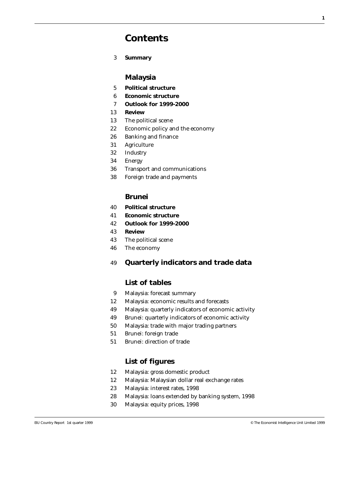### **Contents**

3 **Summary**

#### **Malaysia**

- 5 **Political structure**
- 6 **Economic structure**
- 7 **Outlook for 1999-2000**
- 13 **Review**
- 13 The political scene
- 22 Economic policy and the economy
- 26 Banking and finance
- 31 Agriculture
- 32 Industry
- 34 Energy
- 36 Transport and communications
- 38 Foreign trade and payments

#### **Brunei**

- 40 **Political structure**
- 41 **Economic structure**
- 42 **Outlook for 1999-2000**
- 43 **Review**
- 43 The political scene
- 46 The economy

#### 49 **Quarterly indicators and trade data**

#### **List of tables**

- 9 Malaysia: forecast summary
- 12 Malaysia: economic results and forecasts
- 49 Malaysia: quarterly indicators of economic activity
- 49 Brunei: quarterly indicators of economic activity
- 50 Malaysia: trade with major trading partners
- 51 Brunei: foreign trade
- 51 Brunei: direction of trade

#### **List of figures**

- 12 Malaysia: gross domestic product
- 12 Malaysia: Malaysian dollar real exchange rates
- 23 Malaysia: interest rates, 1998
- 28 Malaysia: loans extended by banking system, 1998
- 30 Malaysia: equity prices, 1998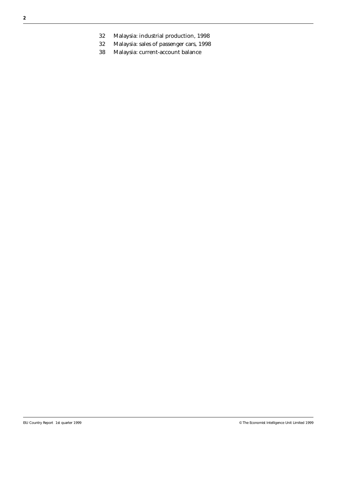- 32 Malaysia: industrial production, 1998
- 32 Malaysia: sales of passenger cars, 1998
- 38 Malaysia: current-account balance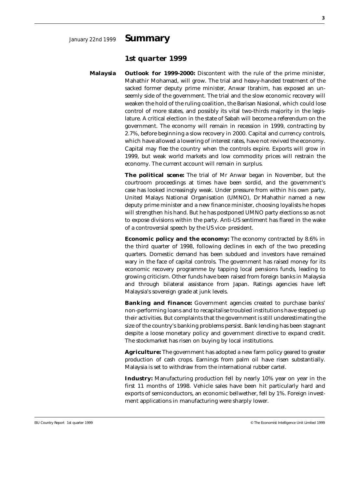#### **1st quarter 1999**

**Malaysia Outlook for 1999-2000:** Discontent with the rule of the prime minister, Mahathir Mohamad, will grow. The trial and heavy-handed treatment of the sacked former deputy prime minister, Anwar Ibrahim, has exposed an unseemly side of the government. The trial and the slow economic recovery will weaken the hold of the ruling coalition, the Barisan Nasional, which could lose control of more states, and possibly its vital two-thirds majority in the legislature. A critical election in the state of Sabah will become a referendum on the government. The economy will remain in recession in 1999, contracting by 2.7%, before beginning a slow recovery in 2000. Capital and currency controls, which have allowed a lowering of interest rates, have not revived the economy. Capital may flee the country when the controls expire. Exports will grow in 1999, but weak world markets and low commodity prices will restrain the economy. The current account will remain in surplus.

> **The political scene:** The trial of Mr Anwar began in November, but the courtroom proceedings at times have been sordid, and the government's case has looked increasingly weak. Under pressure from within his own party, United Malays National Organisation (UMNO), Dr Mahathir named a new deputy prime minister and a new finance minister, choosing loyalists he hopes will strengthen his hand. But he has postponed UMNO party elections so as not to expose divisions within the party. Anti-US sentiment has flared in the wake of a controversial speech by the US vice- president.

> **Economic policy and the economy:** The economy contracted by 8.6% in the third quarter of 1998, following declines in each of the two preceding quarters. Domestic demand has been subdued and investors have remained wary in the face of capital controls. The government has raised money for its economic recovery programme by tapping local pensions funds, leading to growing criticism. Other funds have been raised from foreign banks in Malaysia and through bilateral assistance from Japan. Ratings agencies have left Malaysia's sovereign grade at junk levels.

> **Banking and finance:** Government agencies created to purchase banks' non-performing loans and to recapitalise troubled institutions have stepped up their activities. But complaints that the government is still underestimating the size of the country's banking problems persist. Bank lending has been stagnant despite a loose monetary policy and government directive to expand credit. The stockmarket has risen on buying by local institutions.

> **Agriculture:** The government has adopted a new farm policy geared to greater production of cash crops. Earnings from palm oil have risen substantially. Malaysia is set to withdraw from the international rubber cartel.

> **Industry:** Manufacturing production fell by nearly 10% year on year in the first 11 months of 1998. Vehicle sales have been hit particularly hard and exports of semiconductors, an economic bellwether, fell by 1%. Foreign investment applications in manufacturing were sharply lower.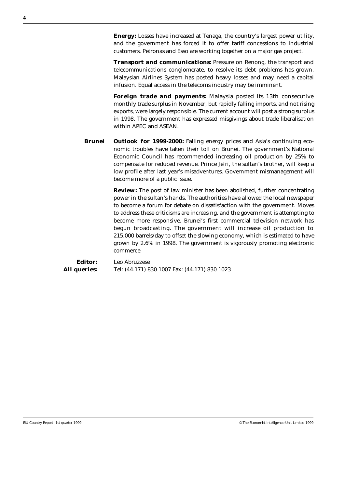**Energy:** Losses have increased at Tenaga, the country's largest power utility, and the government has forced it to offer tariff concessions to industrial customers. Petronas and Esso are working together on a major gas project.

**Transport and communications:** Pressure on Renong, the transport and telecommunications conglomerate, to resolve its debt problems has grown. Malaysian Airlines System has posted heavy losses and may need a capital infusion. Equal access in the telecoms industry may be imminent.

**Foreign trade and payments:** Malaysia posted its 13th consecutive monthly trade surplus in November, but rapidly falling imports, and not rising exports, were largely responsible. The current account will post a strong surplus in 1998. The government has expressed misgivings about trade liberalisation within APEC and ASEAN.

**Brunei Outlook for 1999-2000:** Falling energy prices and Asia's continuing economic troubles have taken their toll on Brunei. The government's National Economic Council has recommended increasing oil production by 25% to compensate for reduced revenue. Prince Jefri, the sultan's brother, will keep a low profile after last year's misadventures. Government mismanagement will become more of a public issue.

> **Review:** The post of law minister has been abolished, further concentrating power in the sultan's hands. The authorities have allowed the local newspaper to become a forum for debate on dissatisfaction with the government. Moves to address these criticisms are increasing, and the government is attempting to become more responsive. Brunei's first commercial television network has begun broadcasting. The government will increase oil production to 215,000 barrels/day to offset the slowing economy, which is estimated to have grown by 2.6% in 1998. The government is vigorously promoting electronic commerce.

**Editor:** Leo Abruzzese **All queries:** Tel: (44.171) 830 1007 Fax: (44.171) 830 1023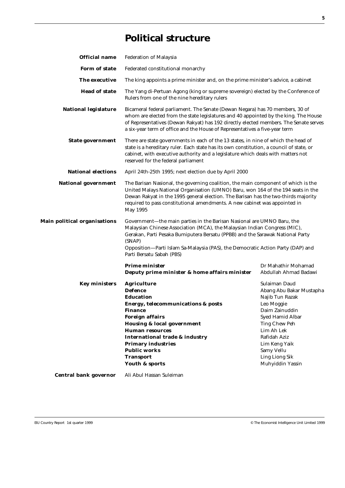### **Political structure**

| <b>Official name</b>         | <b>Federation of Malaysia</b>                                                                                                                                                                                                                                                                                                                                   |                                                                                                                                                                                                                                             |  |  |
|------------------------------|-----------------------------------------------------------------------------------------------------------------------------------------------------------------------------------------------------------------------------------------------------------------------------------------------------------------------------------------------------------------|---------------------------------------------------------------------------------------------------------------------------------------------------------------------------------------------------------------------------------------------|--|--|
| Form of state                | Federated constitutional monarchy                                                                                                                                                                                                                                                                                                                               |                                                                                                                                                                                                                                             |  |  |
| The executive                |                                                                                                                                                                                                                                                                                                                                                                 | The king appoints a prime minister and, on the prime minister's advice, a cabinet                                                                                                                                                           |  |  |
| <b>Head of state</b>         | The Yang di-Pertuan Agong (king or supreme sovereign) elected by the Conference of<br>Rulers from one of the nine hereditary rulers                                                                                                                                                                                                                             |                                                                                                                                                                                                                                             |  |  |
| <b>National legislature</b>  | Bicameral federal parliament. The Senate (Dewan Negara) has 70 members, 30 of<br>whom are elected from the state legislatures and 40 appointed by the king. The House<br>of Representatives (Dewan Rakyat) has 192 directly elected members. The Senate serves<br>a six-year term of office and the House of Representatives a five-year term                   |                                                                                                                                                                                                                                             |  |  |
| <b>State government</b>      | There are state governments in each of the 13 states, in nine of which the head of<br>state is a hereditary ruler. Each state has its own constitution, a council of state, or<br>cabinet, with executive authority and a legislature which deals with matters not<br>reserved for the federal parliament                                                       |                                                                                                                                                                                                                                             |  |  |
| <b>National elections</b>    | April 24th-25th 1995; next election due by April 2000                                                                                                                                                                                                                                                                                                           |                                                                                                                                                                                                                                             |  |  |
| <b>National government</b>   | The Barisan Nasional, the governing coalition, the main component of which is the<br>United Malays National Organisation (UMNO) Baru, won 164 of the 194 seats in the<br>Dewan Rakyat in the 1995 general election. The Barisan has the two-thirds majority<br>required to pass constitutional amendments. A new cabinet was appointed in<br>May 1995           |                                                                                                                                                                                                                                             |  |  |
| Main political organisations | Government-the main parties in the Barisan Nasional are UMNO Baru, the<br>Malaysian Chinese Association (MCA), the Malaysian Indian Congress (MIC),<br>Gerakan, Parti Pesaka Bumiputera Bersatu (PPBB) and the Sarawak National Party<br>(SNAP)<br>Opposition-Parti Islam Sa-Malaysia (PAS), the Democratic Action Party (DAP) and<br>Parti Bersatu Sabah (PBS) |                                                                                                                                                                                                                                             |  |  |
|                              | <b>Prime minister</b><br>Deputy prime minister & home affairs minister                                                                                                                                                                                                                                                                                          | Dr Mahathir Mohamad<br>Abdullah Ahmad Badawi                                                                                                                                                                                                |  |  |
| <b>Key ministers</b>         | <b>Agriculture</b><br><b>Defence</b><br><b>Education</b><br><b>Energy, telecommunications &amp; posts</b><br><b>Finance</b><br><b>Foreign affairs</b><br><b>Housing &amp; local government</b><br><b>Human resources</b><br><b>International trade &amp; industry</b><br><b>Primary industries</b><br><b>Public works</b><br><b>Transport</b><br>Youth & sports | Sulaiman Daud<br>Abang Abu Bakar Mustapha<br>Najib Tun Razak<br>Leo Moggie<br>Daim Zainuddin<br>Syed Hamid Albar<br><b>Ting Chew Peh</b><br>Lim Ah Lek<br>Rafidah Aziz<br>Lim Keng Yaik<br>Samy Vellu<br>Ling Liong Sik<br>Muhyiddin Yassin |  |  |
| <b>Central bank governor</b> | Ali Abul Hassan Suleiman                                                                                                                                                                                                                                                                                                                                        |                                                                                                                                                                                                                                             |  |  |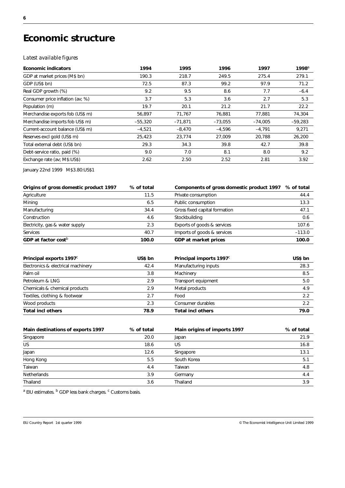### **Economic structure**

#### *Latest available figures*

| <b>Economic indicators</b>       | 1994      | 1995      | 1996      | 1997      | $1998^{\circ}$ |
|----------------------------------|-----------|-----------|-----------|-----------|----------------|
| GDP at market prices (M\$ bn)    | 190.3     | 218.7     | 249.5     | 275.4     | 279.1          |
| GDP (US\$ bn)                    | 72.5      | 87.3      | 99.2      | 97.9      | 71.2           |
| Real GDP growth (%)              | 9.2       | 9.5       | 8.6       | 7.7       | $-6.4$         |
| Consumer price inflation (av; %) | 3.7       | 5.3       | 3.6       | 2.7       | 5.3            |
| Population (m)                   | 19.7      | 20.1      | 21.2      | 21.7      | 22.2           |
| Merchandise exports fob (US\$ m) | 56,897    | 71,767    | 76,881    | 77,881    | 74,304         |
| Merchandise imports fob US\$ m)  | $-55,320$ | $-71,871$ | $-73,055$ | $-74,005$ | $-59,283$      |
| Current-account balance (US\$ m) | $-4,521$  | $-8,470$  | $-4,596$  | $-4,791$  | 9,271          |
| Reserves excl gold (US\$ m)      | 25,423    | 23,774    | 27,009    | 20,788    | 26,200         |
| Total external debt (US\$ bn)    | 29.3      | 34.3      | 39.8      | 42.7      | 39.8           |
| Debt-service ratio, paid (%)     | 9.0       | 7.0       | 8.1       | 8.0       | 9.2            |
| Exchange rate (av: M\$:US\$)     | 2.62      | 2.50      | 2.52      | 2.81      | 3.92           |

January 22nd 1999 M\$3.80:US\$1

| Origins of gross domestic product 1997 | % of total | Components of gross domestic product 1997 % of total |          |
|----------------------------------------|------------|------------------------------------------------------|----------|
| Agriculture                            | 11.5       | Private consumption                                  | 44.4     |
| Mining                                 | 6.5        | Public consumption                                   | 13.3     |
| Manufacturing                          | 34.4       | Gross fixed capital formation                        | 47.1     |
| Construction                           | 4.6        | Stockbuilding                                        | 0.6      |
| Electricity, gas & water supply        | 2.3        | Exports of goods & services                          | 107.6    |
| Services                               | 40.7       | Imports of goods & services                          | $-113.0$ |
| GDP at factor cost <sup>b</sup>        | 100.0      | <b>GDP at market prices</b>                          | 100.0    |

| Principal exports 1997 <sup>c</sup> | US\$ bn | Principal imports 1997 <sup>c</sup> | US\$ bn |
|-------------------------------------|---------|-------------------------------------|---------|
| Electronics & electrical machinery  | 42.4    | Manufacturing inputs                | 28.3    |
| Palm oil                            | 3.8     | Machinery                           | 8.5     |
| Petroleum & LNG                     | 2.9     | Transport equipment                 | 5.0     |
| Chemicals & chemical products       | 2.9     | Metal products                      | 4.9     |
| Textiles, clothing & footwear       | 2.7     | Food                                | 2.2     |
| Wood products                       | 2.3     | Consumer durables                   | 2.2     |
| <b>Total incl others</b>            | 78.9    | <b>Total incl others</b>            | 79.0    |

| Main destinations of exports 1997 | % of total | Main origins of imports 1997 | % of total |
|-----------------------------------|------------|------------------------------|------------|
| Singapore                         | 20.0       | Japan                        | 21.9       |
| US                                | 18.6       | US                           | 16.8       |
| Japan                             | 12.6       | Singapore                    | 13.1       |
| Hong Kong                         | 5.5        | South Korea                  | 5.1        |
| Taiwan                            | 4.4        | Taiwan                       | 4.8        |
| <b>Netherlands</b>                | 3.9        | Germany                      | 4.4        |
| Thailand                          | 3.6        | Thailand                     | 3.9        |

<sup>a</sup> EIU estimates. <sup>b</sup> GDP less bank charges. <sup>c</sup> Customs basis.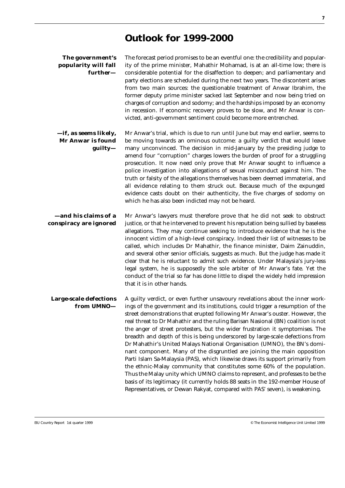### **Outlook for 1999-2000**

| The government's     |
|----------------------|
| popularity will fall |
| further—             |

The forecast period promises to be an eventful one: the credibility and popularity of the prime minister, Mahathir Mohamad, is at an all-time low; there is considerable potential for the disaffection to deepen; and parliamentary and party elections are scheduled during the next two years. The discontent arises from two main sources: the questionable treatment of Anwar Ibrahim, the former deputy prime minister sacked last September and now being tried on charges of corruption and sodomy; and the hardships imposed by an economy in recession. If economic recovery proves to be slow, and Mr Anwar is convicted, anti-government sentiment could become more entrenched.

**—if, as seems likely, Mr Anwar is found guilty—** Mr Anwar's trial, which is due to run until June but may end earlier, seems to be moving towards an ominous outcome: a guilty verdict that would leave many unconvinced. The decision in mid-January by the presiding judge to amend four "corruption" charges lowers the burden of proof for a struggling prosecution. It now need only prove that Mr Anwar sought to influence a police investigation into allegations of sexual misconduct against him. The truth or falsity of the allegations themselves has been deemed immaterial, and all evidence relating to them struck out. Because much of the expunged evidence casts doubt on their authenticity, the five charges of sodomy on which he has also been indicted may not be heard.

**—and his claims of a conspiracy are ignored** Mr Anwar's lawyers must therefore prove that he did not seek to obstruct justice, or that he intervened to prevent his reputation being sullied by baseless allegations. They may continue seeking to introduce evidence that he is the innocent victim of a high-level conspiracy. Indeed their list of witnesses to be called, which includes Dr Mahathir, the finance minister, Daim Zainuddin, and several other senior officials, suggests as much. But the judge has made it clear that he is reluctant to admit such evidence. Under Malaysia's jury-less legal system, he is supposedly the sole arbiter of Mr Anwar's fate. Yet the conduct of the trial so far has done little to dispel the widely held impression that it is in other hands.

**Large-scale defections from UMNO—** A guilty verdict, or even further unsavoury revelations about the inner workings of the government and its institutions, could trigger a resumption of the street demonstrations that erupted following Mr Anwar's ouster. However, the real threat to Dr Mahathir and the ruling Barisan Nasional (BN) coalition is not the anger of street protesters, but the wider frustration it symptomises. The breadth and depth of this is being underscored by large-scale defections from Dr Mahathir's United Malays National Organisation (UMNO), the BN's dominant component. Many of the disgruntled are joining the main opposition Parti Islam Sa-Malaysia (PAS), which likewise draws its support primarily from the ethnic-Malay community that constitutes some 60% of the population. Thus the Malay unity which UMNO claims to represent, and professes to be the basis of its legitimacy (it currently holds 88 seats in the 192-member House of Representatives, or Dewan Rakyat, compared with PAS' seven), is weakening.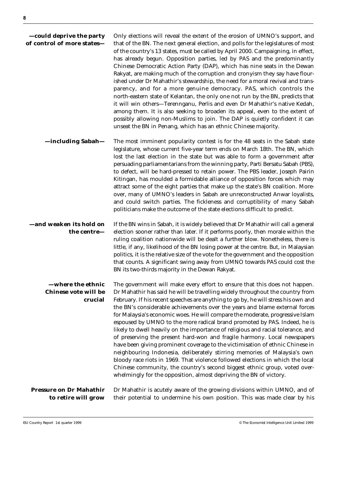| -could deprive the party<br>of control of more states—      | Only elections will reveal the extent of the erosion of UMNO's support, and<br>that of the BN. The next general election, and polls for the legislatures of most<br>of the country's 13 states, must be called by April 2000. Campaigning, in effect,<br>has already begun. Opposition parties, led by PAS and the predominantly<br>Chinese Democratic Action Party (DAP), which has nine seats in the Dewan<br>Rakyat, are making much of the corruption and cronyism they say have flour-<br>ished under Dr Mahathir's stewardship, the need for a moral revival and trans-<br>parency, and for a more genuine democracy. PAS, which controls the<br>north-eastern state of Kelantan, the only one not run by the BN, predicts that<br>it will win others-Terennganu, Perlis and even Dr Mahathir's native Kedah,<br>among them. It is also seeking to broaden its appeal, even to the extent of<br>possibly allowing non-Muslims to join. The DAP is quietly confident it can<br>unseat the BN in Penang, which has an ethnic Chinese majority.               |
|-------------------------------------------------------------|------------------------------------------------------------------------------------------------------------------------------------------------------------------------------------------------------------------------------------------------------------------------------------------------------------------------------------------------------------------------------------------------------------------------------------------------------------------------------------------------------------------------------------------------------------------------------------------------------------------------------------------------------------------------------------------------------------------------------------------------------------------------------------------------------------------------------------------------------------------------------------------------------------------------------------------------------------------------------------------------------------------------------------------------------------------|
| -including Sabah-                                           | The most imminent popularity contest is for the 48 seats in the Sabah state<br>legislature, whose current five-year term ends on March 18th. The BN, which<br>lost the last election in the state but was able to form a government after<br>persuading parliamentarians from the winning party, Parti Bersatu Sabah (PBS),<br>to defect, will be hard-pressed to retain power. The PBS leader, Joseph Pairin<br>Kitingan, has moulded a formidable alliance of opposition forces which may<br>attract some of the eight parties that make up the state's BN coalition. More-<br>over, many of UMNO's leaders in Sabah are unreconstructed Anwar loyalists,<br>and could switch parties. The fickleness and corruptibility of many Sabah<br>politicians make the outcome of the state elections difficult to predict.                                                                                                                                                                                                                                            |
| -and weaken its hold on<br>the centre-                      | If the BN wins in Sabah, it is widely believed that Dr Mahathir will call a general<br>election sooner rather than later. If it performs poorly, then morale within the<br>ruling coalition nationwide will be dealt a further blow. Nonetheless, there is<br>little, if any, likelihood of the BN losing power at the centre. But, in Malaysian<br>politics, it is the relative size of the vote for the government and the opposition<br>that counts. A significant swing away from UMNO towards PAS could cost the<br>BN its two-thirds majority in the Dewan Rakyat.                                                                                                                                                                                                                                                                                                                                                                                                                                                                                         |
| -where the ethnic<br><b>Chinese vote will be</b><br>crucial | The government will make every effort to ensure that this does not happen.<br>Dr Mahathir has said he will be travelling widely throughout the country from<br>February. If his recent speeches are anything to go by, he will stress his own and<br>the BN's considerable achievements over the years and blame external forces<br>for Malaysia's economic woes. He will compare the moderate, progressive Islam<br>espoused by UMNO to the more radical brand promoted by PAS. Indeed, he is<br>likely to dwell heavily on the importance of religious and racial tolerance, and<br>of preserving the present hard-won and fragile harmony. Local newspapers<br>have been giving prominent coverage to the victimisation of ethnic Chinese in<br>neighbouring Indonesia, deliberately stirring memories of Malaysia's own<br>bloody race riots in 1969. That violence followed elections in which the local<br>Chinese community, the country's second biggest ethnic group, voted over-<br>whelmingly for the opposition, almost depriving the BN of victory. |
| <b>Pressure on Dr Mahathir</b><br>to retire will grow       | Dr Mahathir is acutely aware of the growing divisions within UMNO, and of<br>their potential to undermine his own position. This was made clear by his                                                                                                                                                                                                                                                                                                                                                                                                                                                                                                                                                                                                                                                                                                                                                                                                                                                                                                           |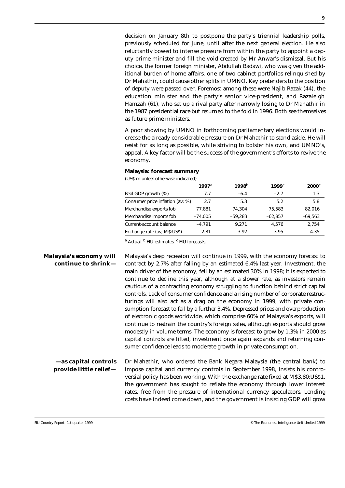decision on January 8th to postpone the party's triennial leadership polls, previously scheduled for June, until after the next general election. He also reluctantly bowed to intense pressure from within the party to appoint a deputy prime minister and fill the void created by Mr Anwar's dismissal. But his choice, the former foreign minister, Abdullah Badawi, who was given the additional burden of home affairs, one of two cabinet portfolios relinquished by Dr Mahathir, could cause other splits in UMNO. Key pretenders to the position of deputy were passed over. Foremost among these were Najib Razak (44), the education minister and the party's senior vice-president, and Razaleigh Hamzah (61), who set up a rival party after narrowly losing to Dr Mahathir in the 1987 presidential race but returned to the fold in 1996. Both see themselves as future prime ministers.

A poor showing by UMNO in forthcoming parliamentary elections would increase the already considerable pressure on Dr Mahathir to stand aside. He will resist for as long as possible, while striving to bolster his own, and UMNO's, appeal. A key factor will be the success of the government's efforts to revive the economy.

#### **Malaysia: forecast summary**

(US\$ m unless otherwise indicated)

|                                  | 1997a     | 1998 $b$  | 1999c     | $2000^\circ$ |
|----------------------------------|-----------|-----------|-----------|--------------|
| Real GDP growth (%)              | 7.7       | $-6.4$    | $-2.7$    | 1.3          |
| Consumer price inflation (av; %) | 2.7       | 5.3       | 5.2       | 5.8          |
| Merchandise exports fob          | 77.881    | 74.304    | 75,583    | 82,016       |
| Merchandise imports fob          | $-74.005$ | $-59.283$ | $-62,857$ | $-69,563$    |
| Current-account balance          | $-4.791$  | 9.271     | 4.576     | 2,754        |
| Exchange rate (av; M\$:US\$)     | 2.81      | 3.92      | 3.95      | 4.35         |

<sup>a</sup> Actual. <sup>b</sup> EIU estimates. <sup>c</sup> EIU forecasts.

**Malaysia's economy will continue to shrink—** Malaysia's deep recession will continue in 1999, with the economy forecast to contract by 2.7% after falling by an estimated 6.4% last year. Investment, the main driver of the economy, fell by an estimated 30% in 1998; it is expected to continue to decline this year, although at a slower rate, as investors remain cautious of a contracting economy struggling to function behind strict capital controls. Lack of consumer confidence and a rising number of corporate restructurings will also act as a drag on the economy in 1999, with private consumption forecast to fall by a further 3.4%. Depressed prices and overproduction of electronic goods worldwide, which comprise 60% of Malaysia's exports, will continue to restrain the country's foreign sales, although exports should grow modestly in volume terms. The economy is forecast to grow by 1.3% in 2000 as capital controls are lifted, investment once again expands and returning consumer confidence leads to moderate growth in private consumption.

**—as capital controls provide little relief—** Dr Mahathir, who ordered the Bank Negara Malaysia (the central bank) to impose capital and currency controls in September 1998, insists his controversial policy has been working. With the exchange rate fixed at M\$3.80:US\$1, the government has sought to reflate the economy through lower interest rates, free from the pressure of international currency speculators. Lending costs have indeed come down, and the government is insisting GDP will grow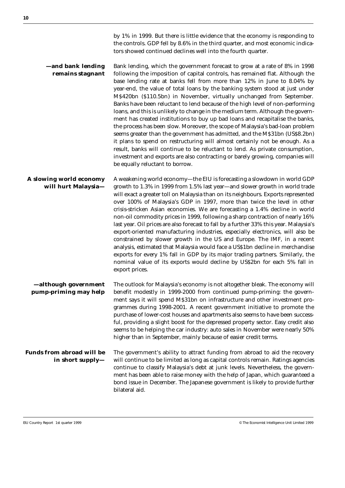by 1% in 1999. But there is little evidence that the economy is responding to the controls. GDP fell by 8.6% in the third quarter, and most economic indicators showed continued declines well into the fourth quarter.

**—and bank lending remains stagnant** Bank lending, which the government forecast to grow at a rate of 8% in 1998 following the imposition of capital controls, has remained flat. Although the base lending rate at banks fell from more than 12% in June to 8.04% by year-end, the value of total loans by the banking system stood at just under M\$420bn (\$110.5bn) in November, virtually unchanged from September. Banks have been reluctant to lend because of the high level of non-performing loans, and this is unlikely to change in the medium term. Although the government has created institutions to buy up bad loans and recapitalise the banks, the process has been slow. Moreover, the scope of Malaysia's bad-loan problem seems greater than the government has admitted, and the M\$31bn (US\$8.2bn) it plans to spend on restructuring will almost certainly not be enough. As a result, banks will continue to be reluctant to lend. As private consumption, investment and exports are also contracting or barely growing, companies will be equally reluctant to borrow.

**A slowing world economy will hurt Malaysia—** A weakening world economy—the EIU is forecasting a slowdown in world GDP growth to 1.3% in 1999 from 1.5% last year—and slower growth in world trade will exact a greater toll on Malaysia than on its neighbours. Exports represented over 100% of Malaysia's GDP in 1997, more than twice the level in other crisis-stricken Asian economies. We are forecasting a 1.4% decline in world non-oil commodity prices in 1999, following a sharp contraction of nearly 16% last year. Oil prices are also forecast to fall by a further 33% this year. Malaysia's export-oriented manufacturing industries, especially electronics, will also be constrained by slower growth in the US and Europe. The IMF, in a recent analysis, estimated that Malaysia would face a US\$1bn decline in merchandise exports for every 1% fall in GDP by its major trading partners. Similarly, the nominal value of its exports would decline by US\$2bn for each 5% fall in export prices.

**—although government pump-priming may help** The outlook for Malaysia's economy is not altogether bleak. The economy will benefit modestly in 1999-2000 from continued pump-priming: the government says it will spend M\$31bn on infrastructure and other investment programmes during 1998-2001. A recent government initiative to promote the purchase of lower-cost houses and apartments also seems to have been successful, providing a slight boost for the depressed property sector. Easy credit also seems to be helping the car industry: auto sales in November were nearly 50% higher than in September, mainly because of easier credit terms.

**Funds from abroad will be in short supply—** The government's ability to attract funding from abroad to aid the recovery will continue to be limited as long as capital controls remain. Ratings agencies continue to classify Malaysia's debt at junk levels. Nevertheless, the government has been able to raise money with the help of Japan, which guaranteed a bond issue in December. The Japanese government is likely to provide further bilateral aid.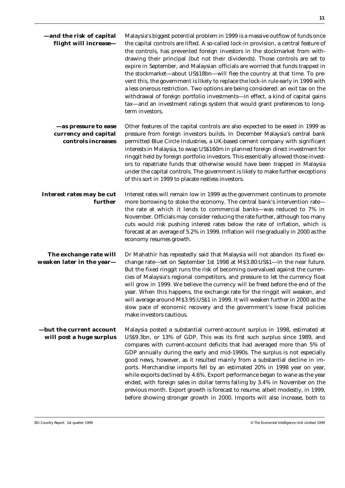| -and the risk of capital<br>flight will increase-                  | Malaysia's biggest potential problem in 1999 is a massive outflow of funds once<br>the capital controls are lifted. A so-called lock-in provision, a central feature of<br>the controls, has prevented foreign investors in the stockmarket from with-<br>drawing their principal (but not their dividends). Those controls are set to<br>expire in September, and Malaysian officials are worried that funds trapped in<br>the stockmarket—about US\$18bn—will flee the country at that time. To pre-<br>vent this, the government is likely to replace the lock-in rule early in 1999 with<br>a less onerous restriction. Two options are being considered: an exit tax on the<br>withdrawal of foreign portfolio investments-in effect, a kind of capital gains<br>tax-and an investment ratings system that would grant preferences to long-<br>term investors. |
|--------------------------------------------------------------------|---------------------------------------------------------------------------------------------------------------------------------------------------------------------------------------------------------------------------------------------------------------------------------------------------------------------------------------------------------------------------------------------------------------------------------------------------------------------------------------------------------------------------------------------------------------------------------------------------------------------------------------------------------------------------------------------------------------------------------------------------------------------------------------------------------------------------------------------------------------------|
| -as pressure to ease<br>currency and capital<br>controls increases | Other features of the capital controls are also expected to be eased in 1999 as<br>pressure from foreign investors builds. In December Malaysia's central bank<br>permitted Blue Circle Industries, a UK-based cement company with significant<br>interests in Malaysia, to swap US\$160m in planned foreign direct investment for<br>ringgit held by foreign portfolio investors. This essentially allowed those invest-<br>ors to repatriate funds that otherwise would have been trapped in Malaysia<br>under the capital controls. The government is likely to make further exceptions<br>of this sort in 1999 to placate restless investors.                                                                                                                                                                                                                   |
| Interest rates may be cut<br>further                               | Interest rates will remain low in 1999 as the government continues to promote<br>more borrowing to stoke the economy. The central bank's intervention rate-<br>the rate at which it lends to commercial banks—was reduced to 7% in<br>November. Officials may consider reducing the rate further, although too many<br>cuts would risk pushing interest rates below the rate of inflation, which is<br>forecast at an average of 5.2% in 1999. Inflation will rise gradually in 2000 as the<br>economy resumes growth.                                                                                                                                                                                                                                                                                                                                              |
| The exchange rate will<br>weaken later in the year-                | Dr Mahathir has repeatedly said that Malaysia will not abandon its fixed ex-<br>change rate—set on September 1st 1998 at M\$3.80:US\$1—in the near future.<br>But the fixed ringgit runs the risk of becoming overvalued against the curren-<br>cies of Malaysia's regional competitors, and pressure to let the currency float<br>will grow in 1999. We believe the currency will be freed before the end of the<br>year. When this happens, the exchange rate for the ringgit will weaken, and<br>will average around M\$3.95:US\$1 in 1999. It will weaken further in 2000 as the<br>slow pace of economic recovery and the government's loose fiscal policies<br>make investors cautious.                                                                                                                                                                       |
| -but the current account<br>will post a huge surplus               | Malaysia posted a substantial current-account surplus in 1998, estimated at<br>US\$9.3bn, or 13% of GDP. This was its first such surplus since 1989, and<br>compares with current-account deficits that had averaged more than 5% of<br>GDP annually during the early and mid-1990s. The surplus is not especially<br>good news, however, as it resulted mainly from a substantial decline in im-<br>ports. Merchandise imports fell by an estimated 20% in 1998 year on year,<br>while exports declined by 4.6%. Export performance began to wane as the year<br>ended, with foreign sales in dollar terms falling by 3.4% in November on the<br>previous month. Export growth is forecast to resume, albeit modestly, in 1999,<br>before showing stronger growth in 2000. Imports will also increase, both to                                                     |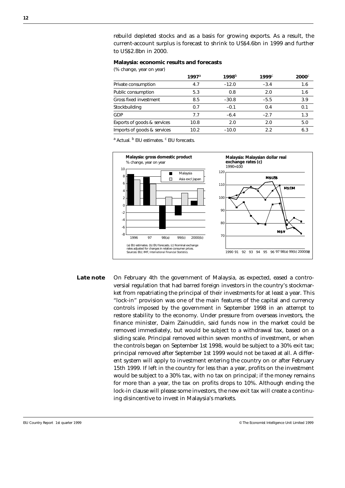rebuild depleted stocks and as a basis for growing exports. As a result, the current-account surplus is forecast to shrink to US\$4.6bn in 1999 and further to US\$2.8bn in 2000.

#### **Malaysia: economic results and forecasts**

(% change, year on year)

|                             | $1997^{\circ}$ | 1998 $b$ | $1999^\circ$ | $2000$ <sup><math>c</math></sup> |
|-----------------------------|----------------|----------|--------------|----------------------------------|
| Private consumption         | 4.7            | $-12.0$  | $-3.4$       | 1.6                              |
| Public consumption          | 5.3            | 0.8      | 2.0          | 1.6                              |
| Gross fixed investment      | 8.5            | $-30.8$  | $-5.5$       | 3.9                              |
| Stockbuilding               | 0.7            | $-0.1$   | 0.4          | 0.1                              |
| GDP                         | 7.7            | $-6.4$   | $-2.7$       | 1.3                              |
| Exports of goods & services | 10.8           | 2.0      | 2.0          | 5.0                              |
| Imports of goods & services | 10.2           | $-10.0$  | 2.2          | 6.3                              |

<sup>a</sup> Actual. <sup>b</sup> EIU estimates. <sup>c</sup> EIU forecasts.



**Late note** On February 4th the government of Malaysia, as expected, eased a controversial regulation that had barred foreign investors in the country's stockmarket from repatriating the principal of their investments for at least a year. This "lock-in" provision was one of the main features of the capital and currency controls imposed by the government in September 1998 in an attempt to restore stability to the economy. Under pressure from overseas investors, the finance minister, Daim Zainuddin, said funds now in the market could be removed immediately, but would be subject to a withdrawal tax, based on a sliding scale. Principal removed within seven months of investment, or when the controls began on September 1st 1998, would be subject to a 30% exit tax; principal removed after September 1st 1999 would not be taxed at all. A different system will apply to investment entering the country on or after February 15th 1999. If left in the country for less than a year, profits on the investment would be subject to a 30% tax, with no tax on principal; if the money remains for more than a year, the tax on profits drops to 10%. Although ending the lock-in clause will please some investors, the new exit tax will create a continuing disincentive to invest in Malaysia's markets.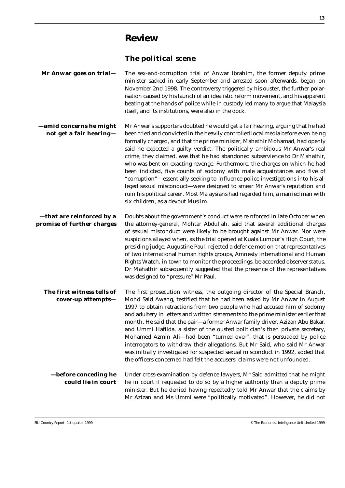### **Review**

### **The political scene**

| Mr Anwar goes on trial-                                 | The sex-and-corruption trial of Anwar Ibrahim, the former deputy prime<br>minister sacked in early September and arrested soon afterwards, began on<br>November 2nd 1998. The controversy triggered by his ouster, the further polar-<br>isation caused by his launch of an idealistic reform movement, and his apparent<br>beating at the hands of police while in custody led many to argue that Malaysia<br>itself, and its institutions, were also in the dock.                                                                                                                                                                                                                                                                                                                                                                                                |
|---------------------------------------------------------|--------------------------------------------------------------------------------------------------------------------------------------------------------------------------------------------------------------------------------------------------------------------------------------------------------------------------------------------------------------------------------------------------------------------------------------------------------------------------------------------------------------------------------------------------------------------------------------------------------------------------------------------------------------------------------------------------------------------------------------------------------------------------------------------------------------------------------------------------------------------|
| -amid concerns he might<br>not get a fair hearing-      | Mr Anwar's supporters doubted he would get a fair hearing, arguing that he had<br>been tried and convicted in the heavily controlled local media before even being<br>formally charged, and that the prime minister, Mahathir Mohamad, had openly<br>said he expected a guilty verdict. The politically ambitious Mr Anwar's real<br>crime, they claimed, was that he had abandoned subservience to Dr Mahathir,<br>who was bent on exacting revenge. Furthermore, the charges on which he had<br>been indicted, five counts of sodomy with male acquaintances and five of<br>"corruption"-essentially seeking to influence police investigations into his al-<br>leged sexual misconduct-were designed to smear Mr Anwar's reputation and<br>ruin his political career. Most Malaysians had regarded him, a married man with<br>six children, as a devout Muslim. |
| -that are reinforced by a<br>promise of further charges | Doubts about the government's conduct were reinforced in late October when<br>the attorney-general, Mohtar Abdullah, said that several additional charges<br>of sexual misconduct were likely to be brought against Mr Anwar. Nor were<br>suspicions allayed when, as the trial opened at Kuala Lumpur's High Court, the<br>presiding judge, Augustine Paul, rejected a defence motion that representatives<br>of two international human rights groups, Amnesty International and Human<br>Rights Watch, in town to monitor the proceedings, be accorded observer status.<br>Dr Mahathir subsequently suggested that the presence of the representatives<br>was designed to "pressure" Mr Paul.                                                                                                                                                                   |
| The first witness tells of<br>cover-up attempts-        | The first prosecution witness, the outgoing director of the Special Branch,<br>Mohd Said Awang, testified that he had been asked by Mr Anwar in August<br>1997 to obtain retractions from two people who had accused him of sodomy<br>and adultery in letters and written statements to the prime minister earlier that<br>month. He said that the pair-a former Anwar family driver, Azizan Abu Bakar,<br>and Ummi Hafilda, a sister of the ousted politician's then private secretary,<br>Mohamed Azmin Ali-had been "turned over", that is persuaded by police<br>interrogators to withdraw their allegations. But Mr Said, who said Mr Anwar<br>was initially investigated for suspected sexual misconduct in 1992, added that<br>the officers concerned had felt the accusers' claims were not unfounded.                                                     |
| -before conceding he<br>could lie in court              | Under cross-examination by defence lawyers, Mr Said admitted that he might<br>lie in court if requested to do so by a higher authority than a deputy prime<br>minister. But he denied having repeatedly told Mr Anwar that the claims by<br>Mr Azizan and Ms Ummi were "politically motivated". However, he did not                                                                                                                                                                                                                                                                                                                                                                                                                                                                                                                                                |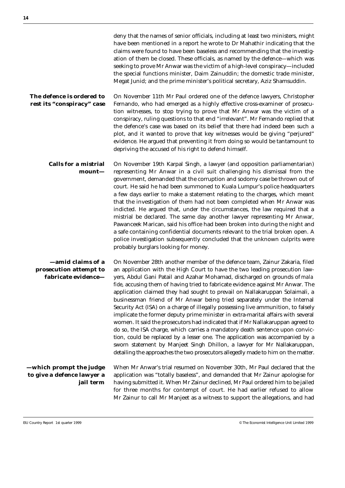|                                                                    | deny that the names of senior officials, including at least two ministers, might<br>have been mentioned in a report he wrote to Dr Mahathir indicating that the<br>claims were found to have been baseless and recommending that the investig-<br>ation of them be closed. These officials, as named by the defence-which was<br>seeking to prove Mr Anwar was the victim of a high-level conspiracy-included<br>the special functions minister, Daim Zainuddin; the domestic trade minister,<br>Megat Junid; and the prime minister's political secretary, Aziz Shamsuddin.                                                                                                                                                                                                                                                                                                                                                                                                                                                                                                         |
|--------------------------------------------------------------------|--------------------------------------------------------------------------------------------------------------------------------------------------------------------------------------------------------------------------------------------------------------------------------------------------------------------------------------------------------------------------------------------------------------------------------------------------------------------------------------------------------------------------------------------------------------------------------------------------------------------------------------------------------------------------------------------------------------------------------------------------------------------------------------------------------------------------------------------------------------------------------------------------------------------------------------------------------------------------------------------------------------------------------------------------------------------------------------|
| The defence is ordered to<br>rest its "conspiracy" case            | On November 11th Mr Paul ordered one of the defence lawyers, Christopher<br>Fernando, who had emerged as a highly effective cross-examiner of prosecu-<br>tion witnesses, to stop trying to prove that Mr Anwar was the victim of a<br>conspiracy, ruling questions to that end "irrelevant". Mr Fernando replied that<br>the defence's case was based on its belief that there had indeed been such a<br>plot, and it wanted to prove that key witnesses would be giving "perjured"<br>evidence. He argued that preventing it from doing so would be tantamount to<br>depriving the accused of his right to defend himself.                                                                                                                                                                                                                                                                                                                                                                                                                                                         |
| <b>Calls for a mistrial</b><br>mount-                              | On November 19th Karpal Singh, a lawyer (and opposition parliamentarian)<br>representing Mr Anwar in a civil suit challenging his dismissal from the<br>government, demanded that the corruption and sodomy case be thrown out of<br>court. He said he had been summoned to Kuala Lumpur's police headquarters<br>a few days earlier to make a statement relating to the charges, which meant<br>that the investigation of them had not been completed when Mr Anwar was<br>indicted. He argued that, under the circumstances, the law required that a<br>mistrial be declared. The same day another lawyer representing Mr Anwar,<br>Pawanceek Marican, said his office had been broken into during the night and<br>a safe containing confidential documents relevant to the trial broken open. A<br>police investigation subsequently concluded that the unknown culprits were<br>probably burglars looking for money.                                                                                                                                                            |
| -amid claims of a<br>prosecution attempt to<br>fabricate evidence- | On November 28th another member of the defence team, Zainur Zakaria, filed<br>an application with the High Court to have the two leading prosecution law-<br>yers, Abdul Gani Patail and Azahar Mohamad, discharged on grounds of mala<br>fide, accusing them of having tried to fabricate evidence against Mr Anwar. The<br>application claimed they had sought to prevail on Nallakaruppan Solaimali, a<br>businessman friend of Mr Anwar being tried separately under the Internal<br>Security Act (ISA) on a charge of illegally possessing live ammunition, to falsely<br>implicate the former deputy prime minister in extra-marital affairs with several<br>women. It said the prosecutors had indicated that if Mr Nallakaruppan agreed to<br>do so, the ISA charge, which carries a mandatory death sentence upon convic-<br>tion, could be replaced by a lesser one. The application was accompanied by a<br>sworn statement by Manjeet Singh Dhillon, a lawyer for Mr Nallakaruppan,<br>detailing the approaches the two prosecutors allegedly made to him on the matter. |
| —which prompt the judge<br>to give a defence lawyer a<br>jail term | When Mr Anwar's trial resumed on November 30th, Mr Paul declared that the<br>application was "totally baseless", and demanded that Mr Zainur apologise for<br>having submitted it. When Mr Zainur declined, Mr Paul ordered him to be jailed<br>for three months for contempt of court. He had earlier refused to allow<br>Mr Zainur to call Mr Manjeet as a witness to support the allegations, and had                                                                                                                                                                                                                                                                                                                                                                                                                                                                                                                                                                                                                                                                             |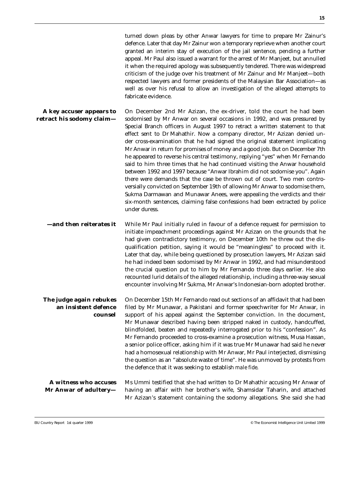turned down pleas by other Anwar lawyers for time to prepare Mr Zainur's defence. Later that day Mr Zainur won a temporary reprieve when another court granted an interim stay of execution of the jail sentence, pending a further appeal. Mr Paul also issued a warrant for the arrest of Mr Manjeet, but annulled it when the required apology was subsequently tendered. There was widespread criticism of the judge over his treatment of Mr Zainur and Mr Manjeet—both respected lawyers and former presidents of the Malaysian Bar Association—as well as over his refusal to allow an investigation of the alleged attempts to fabricate evidence.

**A key accuser appears to retract his sodomy claim—** On December 2nd Mr Azizan, the ex-driver, told the court he had been sodomised by Mr Anwar on several occasions in 1992, and was pressured by Special Branch officers in August 1997 to retract a written statement to that effect sent to Dr Mahathir. Now a company director, Mr Azizan denied under cross-examination that he had signed the original statement implicating Mr Anwar in return for promises of money and a good job. But on December 7th he appeared to reverse his central testimony, replying "yes" when Mr Fernando said to him three times that he had continued visiting the Anwar household between 1992 and 1997 because "Anwar Ibrahim did not sodomise you". Again there were demands that the case be thrown out of court. Two men controversially convicted on September 19th of allowing Mr Anwar to sodomise them, Sukma Darmawan and Munawar Anees, were appealing the verdicts and their six-month sentences, claiming false confessions had been extracted by police under duress.

**—and then reiterates it** While Mr Paul initially ruled in favour of a defence request for permission to initiate impeachment proceedings against Mr Azizan on the grounds that he had given contradictory testimony, on December 10th he threw out the disqualification petition, saying it would be "meaningless" to proceed with it. Later that day, while being questioned by prosecution lawyers, Mr Azizan said he had indeed been sodomised by Mr Anwar in 1992, and had misunderstood the crucial question put to him by Mr Fernando three days earlier. He also recounted lurid details of the alleged relationship, including a three-way sexual encounter involving Mr Sukma, Mr Anwar's Indonesian-born adopted brother.

**The judge again rebukes an insistent defence counsel** On December 15th Mr Fernando read out sections of an affidavit that had been filed by Mr Munawar, a Pakistani and former speechwriter for Mr Anwar, in support of his appeal against the September conviction. In the document, Mr Munawar described having been stripped naked in custody, handcuffed, blindfolded, beaten and repeatedly interrogated prior to his "confession". As Mr Fernando proceeded to cross-examine a prosecution witness, Musa Hassan, a senior police officer, asking him if it was true Mr Munawar had said he never had a homosexual relationship with Mr Anwar, Mr Paul interjected, dismissing the question as an "absolute waste of time". He was unmoved by protests from the defence that it was seeking to establish *male fide*.

**A witness who accuses Mr Anwar of adultery—** Ms Ummi testified that she had written to Dr Mahathir accusing Mr Anwar of having an affair with her brother's wife, Shamsidar Taharin, and attached Mr Azizan's statement containing the sodomy allegations. She said she had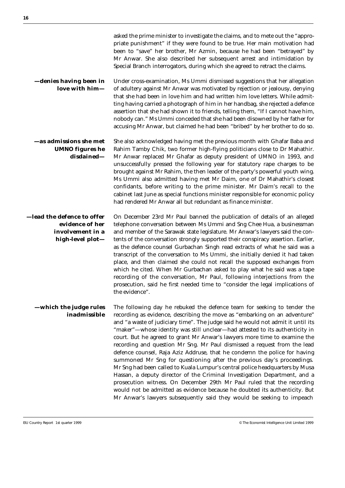|                                                                                       | asked the prime minister to investigate the claims, and to mete out the "appro-<br>priate punishment" if they were found to be true. Her main motivation had<br>been to "save" her brother, Mr Azmin, because he had been "betrayed" by<br>Mr Anwar. She also described her subsequent arrest and intimidation by<br>Special Branch interrogators, during which she agreed to retract the claims.                                                                                                                                                                                                                                                                                                                                                                                                                                                                                                                                                                                                                                    |
|---------------------------------------------------------------------------------------|--------------------------------------------------------------------------------------------------------------------------------------------------------------------------------------------------------------------------------------------------------------------------------------------------------------------------------------------------------------------------------------------------------------------------------------------------------------------------------------------------------------------------------------------------------------------------------------------------------------------------------------------------------------------------------------------------------------------------------------------------------------------------------------------------------------------------------------------------------------------------------------------------------------------------------------------------------------------------------------------------------------------------------------|
| -denies having been in<br>love with him-                                              | Under cross-examination, Ms Ummi dismissed suggestions that her allegation<br>of adultery against Mr Anwar was motivated by rejection or jealousy, denying<br>that she had been in love him and had written him love letters. While admit-<br>ting having carried a photograph of him in her handbag, she rejected a defence<br>assertion that she had shown it to friends, telling them, "If I cannot have him,<br>nobody can." Ms Ummi conceded that she had been disowned by her father for<br>accusing Mr Anwar, but claimed he had been "bribed" by her brother to do so.                                                                                                                                                                                                                                                                                                                                                                                                                                                       |
| -as admissions she met<br><b>UMNO figures he</b><br>disdained-                        | She also acknowledged having met the previous month with Ghafar Baba and<br>Rahim Tamby Chik, two former high-flying politicians close to Dr Mahathir.<br>Mr Anwar replaced Mr Ghafar as deputy president of UMNO in 1993, and<br>unsuccessfully pressed the following year for statutory rape charges to be<br>brought against Mr Rahim, the then leader of the party's powerful youth wing.<br>Ms Ummi also admitted having met Mr Daim, one of Dr Mahathir's closest<br>confidants, before writing to the prime minister. Mr Daim's recall to the<br>cabinet last June as special functions minister responsible for economic policy<br>had rendered Mr Anwar all but redundant as finance minister.                                                                                                                                                                                                                                                                                                                              |
| –lead the defence to offer<br>evidence of her<br>involvement in a<br>high-level plot- | On December 23rd Mr Paul banned the publication of details of an alleged<br>telephone conversation between Ms Ummi and Sng Chee Hua, a businessman<br>and member of the Sarawak state legislature. Mr Anwar's lawyers said the con-<br>tents of the conversation strongly supported their conspiracy assertion. Earlier,<br>as the defence counsel Gurbachan Singh read extracts of what he said was a<br>transcript of the conversation to Ms Ummi, she initially denied it had taken<br>place, and then claimed she could not recall the supposed exchanges from<br>which he cited. When Mr Gurbachan asked to play what he said was a tape<br>recording of the conversation, Mr Paul, following interjections from the<br>prosecution, said he first needed time to "consider the legal implications of<br>the evidence".                                                                                                                                                                                                         |
| —which the judge rules<br>inadmissible                                                | The following day he rebuked the defence team for seeking to tender the<br>recording as evidence, describing the move as "embarking on an adventure"<br>and "a waste of judiciary time". The judge said he would not admit it until its<br>"maker"-whose identity was still unclear-had attested to its authenticity in<br>court. But he agreed to grant Mr Anwar's lawyers more time to examine the<br>recording and question Mr Sng. Mr Paul dismissed a request from the lead<br>defence counsel, Raja Aziz Addruse, that he condemn the police for having<br>summoned Mr Sng for questioning after the previous day's proceedings.<br>Mr Sng had been called to Kuala Lumpur's central police headquarters by Musa<br>Hassan, a deputy director of the Criminal Investigation Department, and a<br>prosecution witness. On December 29th Mr Paul ruled that the recording<br>would not be admitted as evidence because he doubted its authenticity. But<br>Mr Anwar's lawyers subsequently said they would be seeking to impeach |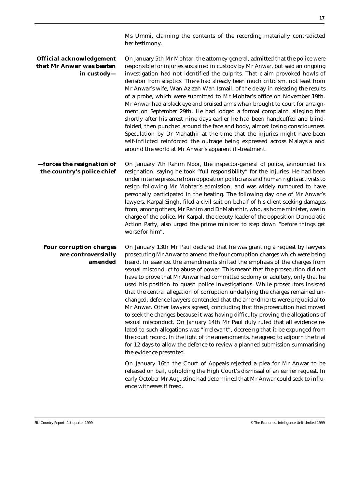Ms Ummi, claiming the contents of the recording materially contradicted her testimony.

**Official acknowledgement that Mr Anwar was beaten in custody—** On January 5th Mr Mohtar, the attorney-general, admitted that the police were responsible for injuries sustained in custody by Mr Anwar, but said an ongoing investigation had not identified the culprits. That claim provoked howls of derision from sceptics. There had already been much criticism, not least from Mr Anwar's wife, Wan Azizah Wan Ismail, of the delay in releasing the results of a probe, which were submitted to Mr Mohtar's office on November 19th. Mr Anwar had a black eye and bruised arms when brought to court for arraignment on September 29th. He had lodged a formal complaint, alleging that shortly after his arrest nine days earlier he had been handcuffed and blindfolded, then punched around the face and body, almost losing consciousness. Speculation by Dr Mahathir at the time that the injuries might have been self-inflicted reinforced the outrage being expressed across Malaysia and around the world at Mr Anwar's apparent ill-treatment. **—forces the resignation of the country's police chief** On January 7th Rahim Noor, the inspector-general of police, announced his resignation, saying he took "full responsibility" for the injuries. He had been under intense pressure from opposition politicians and human rights activists to resign following Mr Mohtar's admission, and was widely rumoured to have personally participated in the beating. The following day one of Mr Anwar's lawyers, Karpal Singh, filed a civil suit on behalf of his client seeking damages from, among others, Mr Rahim and Dr Mahathir, who, as home minister, was in charge of the police. Mr Karpal, the deputy leader of the opposition Democratic Action Party, also urged the prime minister to step down "before things get worse for him". **Four corruption charges are controversially amended** On January 13th Mr Paul declared that he was granting a request by lawyers prosecuting Mr Anwar to amend the four corruption charges which were being heard. In essence, the amendments shifted the emphasis of the charges from sexual misconduct to abuse of power. This meant that the prosecution did not have to prove that Mr Anwar had committed sodomy or adultery, only that he used his position to quash police investigations. While prosecutors insisted that the central allegation of corruption underlying the charges remained unchanged, defence lawyers contended that the amendments were prejudicial to Mr Anwar. Other lawyers agreed, concluding that the prosecution had moved to seek the changes because it was having difficulty proving the allegations of sexual misconduct. On January 14th Mr Paul duly ruled that all evidence related to such allegations was "irrelevant", decreeing that it be expunged from the court record. In the light of the amendments, he agreed to adjourn the trial for 12 days to allow the defence to review a planned submission summarising the evidence presented. On January 16th the Court of Appeals rejected a plea for Mr Anwar to be released on bail, upholding the High Court's dismissal of an earlier request. In early October Mr Augustine had determined that Mr Anwar could seek to influ-

ence witnesses if freed.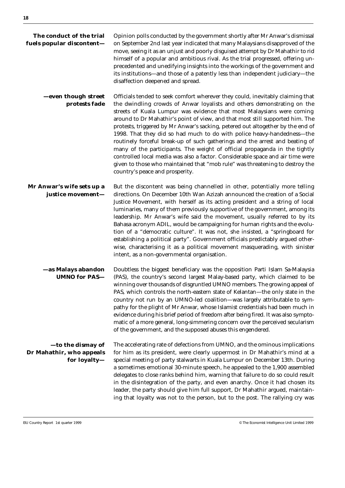| The conduct of the trial<br>fuels popular discontent-         | Opinion polls conducted by the government shortly after Mr Anwar's dismissal<br>on September 2nd last year indicated that many Malaysians disapproved of the<br>move, seeing it as an unjust and poorly disguised attempt by Dr Mahathir to rid<br>himself of a popular and ambitious rival. As the trial progressed, offering un-<br>precedented and unedifying insights into the workings of the government and<br>its institutions—and those of a patently less than independent judiciary—the<br>disaffection deepened and spread.                                                                                                                                                                                                                                                                                                              |
|---------------------------------------------------------------|-----------------------------------------------------------------------------------------------------------------------------------------------------------------------------------------------------------------------------------------------------------------------------------------------------------------------------------------------------------------------------------------------------------------------------------------------------------------------------------------------------------------------------------------------------------------------------------------------------------------------------------------------------------------------------------------------------------------------------------------------------------------------------------------------------------------------------------------------------|
| -even though street<br>protests fade                          | Officials tended to seek comfort wherever they could, inevitably claiming that<br>the dwindling crowds of Anwar loyalists and others demonstrating on the<br>streets of Kuala Lumpur was evidence that most Malaysians were coming<br>around to Dr Mahathir's point of view, and that most still supported him. The<br>protests, triggered by Mr Anwar's sacking, petered out altogether by the end of<br>1998. That they did so had much to do with police heavy-handedness-the<br>routinely forceful break-up of such gatherings and the arrest and beating of<br>many of the participants. The weight of official propaganda in the tightly<br>controlled local media was also a factor. Considerable space and air time were<br>given to those who maintained that "mob rule" was threatening to destroy the<br>country's peace and prosperity. |
| Mr Anwar's wife sets up a<br>justice movement-                | But the discontent was being channelled in other, potentially more telling<br>directions. On December 10th Wan Azizah announced the creation of a Social<br>Justice Movement, with herself as its acting president and a string of local<br>luminaries, many of them previously supportive of the government, among its<br>leadership. Mr Anwar's wife said the movement, usually referred to by its<br>Bahasa acronym ADIL, would be campaigning for human rights and the evolu-<br>tion of a "democratic culture". It was not, she insisted, a "springboard for<br>establishing a political party". Government officials predictably argued other-<br>wise, characterising it as a political movement masquerading, with sinister<br>intent, as a non-governmental organisation.                                                                  |
| -as Malays abandon<br><b>UMNO</b> for PAS-                    | Doubtless the biggest beneficiary was the opposition Parti Islam Sa-Malaysia<br>(PAS), the country's second largest Malay-based party, which claimed to be<br>winning over thousands of disgruntled UMNO members. The growing appeal of<br>PAS, which controls the north-eastern state of Kelantan-the only state in the<br>country not run by an UMNO-led coalition-was largely attributable to sym-<br>pathy for the plight of Mr Anwar, whose Islamist credentials had been much in<br>evidence during his brief period of freedom after being fired. It was also sympto-<br>matic of a more general, long-simmering concern over the perceived secularism<br>of the government, and the supposed abuses this engendered.                                                                                                                        |
| -to the dismay of<br>Dr Mahathir, who appeals<br>for loyalty- | The accelerating rate of defections from UMNO, and the ominous implications<br>for him as its president, were clearly uppermost in Dr Mahathir's mind at a<br>special meeting of party stalwarts in Kuala Lumpur on December 13th. During<br>a sometimes emotional 30-minute speech, he appealed to the 1,900 assembled<br>delegates to close ranks behind him, warning that failure to do so could result<br>in the disintegration of the party, and even anarchy. Once it had chosen its<br>leader, the party should give him full support, Dr Mahathir argued, maintain-<br>ing that loyalty was not to the person, but to the post. The rallying cry was                                                                                                                                                                                        |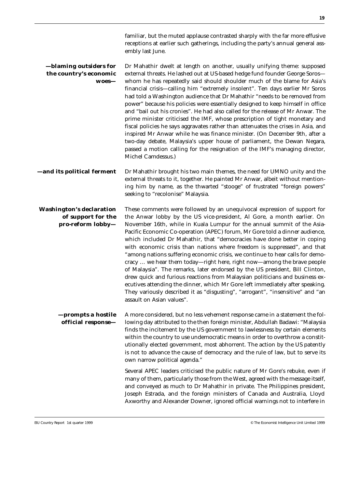familiar, but the muted applause contrasted sharply with the far more effusive receptions at earlier such gatherings, including the party's annual general assembly last June.

#### **—blaming outsiders for the country's economic woes—** Dr Mahathir dwelt at length on another, usually unifying theme: supposed external threats. He lashed out at US-based hedge fund founder George Soros whom he has repeatedly said should shoulder much of the blame for Asia's financial crisis—calling him "extremely insolent". Ten days earlier Mr Soros had told a Washington audience that Dr Mahathir "needs to be removed from power" because his policies were essentially designed to keep himself in office and "bail out his cronies". He had also called for the release of Mr Anwar. The prime minister criticised the IMF, whose prescription of tight monetary and fiscal policies he says aggravates rather than attenuates the crises in Asia, and inspired Mr Anwar while he was finance minister. (On December 9th, after a two-day debate, Malaysia's upper house of parliament, the Dewan Negara, passed a motion calling for the resignation of the IMF's managing director, Michel Camdessus.) **—and its political ferment** Dr Mahathir brought his two main themes, the need for UMNO unity and the external threats to it, together. He painted Mr Anwar, albeit without mentioning him by name, as the thwarted "stooge" of frustrated "foreign powers" seeking to "recolonise" Malaysia. **Washington's declaration of support for the pro-reform lobby—** These comments were followed by an unequivocal expression of support for the Anwar lobby by the US vice-president, Al Gore, a month earlier. On November 16th, while in Kuala Lumpur for the annual summit of the Asia-Pacific Economic Co-operation (APEC) forum, Mr Gore told a dinner audience, which included Dr Mahathir, that "democracies have done better in coping with economic crisis than nations where freedom is suppressed", and that "among nations suffering economic crisis, we continue to hear calls for democracy … we hear them today—right here, right now—among the brave people of Malaysia". The remarks, later endorsed by the US president, Bill Clinton, drew quick and furious reactions from Malaysian politicians and business executives attending the dinner, which Mr Gore left immediately after speaking.

**—prompts a hostile official response—** A more considered, but no less vehement response came in a statement the following day attributed to the then foreign minister, Abdullah Badawi: "Malaysia finds the incitement by the US government to lawlessness by certain elements within the country to use undemocratic means in order to overthrow a constitutionally elected government, most abhorrent. The action by the US patently is not to advance the cause of democracy and the rule of law, but to serve its own narrow political agenda."

assault on Asian values".

Several APEC leaders criticised the public nature of Mr Gore's rebuke, even if many of them, particularly those from the West, agreed with the message itself, and conveyed as much to Dr Mahathir in private. The Philippines president, Joseph Estrada, and the foreign ministers of Canada and Australia, Lloyd Axworthy and Alexander Downer, ignored official warnings not to interfere in

They variously described it as "disgusting", "arrogant", "insensitive" and "an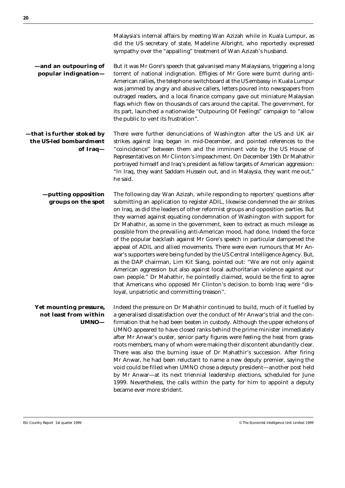Malaysia's internal affairs by meeting Wan Azizah while in Kuala Lumpur, as did the US secretary of state, Madeline Albright, who reportedly expressed sympathy over the "appalling" treatment of Wan Azizah's husband.

**—and an outpouring of popular indignation—** But it was Mr Gore's speech that galvanised many Malaysians, triggering a long torrent of national indignation. Effigies of Mr Gore were burnt during anti-American rallies, the telephone switchboard at the US embassy in Kuala Lumpur was jammed by angry and abusive callers, letters poured into newspapers from outraged readers, and a local finance company gave out miniature Malaysian flags which flew on thousands of cars around the capital. The government, for its part, launched a nationwide "Outpouring Of Feelings" campaign to "allow the public to vent its frustration".

**—that is further stoked by the US-led bombardment of Iraq—** There were further denunciations of Washington after the US and UK air strikes against Iraq began in mid-December, and pointed references to the "coincidence" between them and the imminent vote by the US House of Representatives on Mr Clinton's impeachment. On December 19th Dr Mahathir portrayed himself and Iraq's president as fellow targets of American aggression: "In Iraq, they want Saddam Hussein out, and in Malaysia, they want me out," he said.

**—putting opposition groups on the spot** The following day Wan Azizah, while responding to reporters' questions after submitting an application to register ADIL, likewise condemned the air strikes on Iraq, as did the leaders of other reformist groups and opposition parties. But they warned against equating condemnation of Washington with support for Dr Mahathir, as some in the government, keen to extract as much mileage as possible from the prevailing anti-American mood, had done. Indeed the force of the popular backlash against Mr Gore's speech in particular dampened the appeal of ADIL and allied movements. There were even rumours that Mr Anwar's supporters were being funded by the US Central Intelligence Agency. But, as the DAP chairman, Lim Kit Siang, pointed out: "We are not only against American aggression but also against local authoritarian violence against our own people." Dr Mahathir, he pointedly claimed, would be the first to agree that Americans who opposed Mr Clinton's decision to bomb Iraq were "disloyal, unpatriotic and committing treason".

**Yet mounting pressure, not least from within UMNO—** Indeed the pressure on Dr Mahathir continued to build, much of it fuelled by a generalised dissatisfaction over the conduct of Mr Anwar's trial and the confirmation that he had been beaten in custody. Although the upper echelons of UMNO appeared to have closed ranks behind the prime minister immediately after Mr Anwar's ouster, senior party figures were feeling the heat from grassroots members, many of whom were making their discontent abundantly clear. There was also the burning issue of Dr Mahathir's succession. After firing Mr Anwar, he had been reluctant to name a new deputy premier, saying the void could be filled when UMNO chose a deputy president—another post held by Mr Anwar—at its next triennial leadership elections, scheduled for June 1999. Nevertheless, the calls within the party for him to appoint a deputy became ever more strident.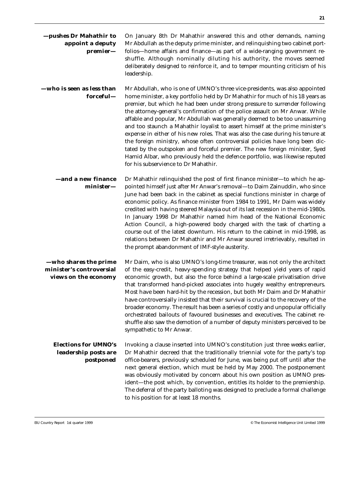| —pushes Dr Mahathir to<br>appoint a deputy<br>premier-                    | On January 8th Dr Mahathir answered this and other demands, naming<br>Mr Abdullah as the deputy prime minister, and relinquishing two cabinet port-<br>folios-home affairs and finance-as part of a wide-ranging government re-<br>shuffle. Although nominally diluting his authority, the moves seemed<br>deliberately designed to reinforce it, and to temper mounting criticism of his<br>leadership.                                                                                                                                                                                                                                                                                                                                                                                                                                                              |
|---------------------------------------------------------------------------|-----------------------------------------------------------------------------------------------------------------------------------------------------------------------------------------------------------------------------------------------------------------------------------------------------------------------------------------------------------------------------------------------------------------------------------------------------------------------------------------------------------------------------------------------------------------------------------------------------------------------------------------------------------------------------------------------------------------------------------------------------------------------------------------------------------------------------------------------------------------------|
| -who is seen as less than<br>forceful-                                    | Mr Abdullah, who is one of UMNO's three vice-presidents, was also appointed<br>home minister, a key portfolio held by Dr Mahathir for much of his 18 years as<br>premier, but which he had been under strong pressure to surrender following<br>the attorney-general's confirmation of the police assault on Mr Anwar. While<br>affable and popular, Mr Abdullah was generally deemed to be too unassuming<br>and too staunch a Mahathir loyalist to assert himself at the prime minister's<br>expense in either of his new roles. That was also the case during his tenure at<br>the foreign ministry, whose often controversial policies have long been dic-<br>tated by the outspoken and forceful premier. The new foreign minister, Syed<br>Hamid Albar, who previously held the defence portfolio, was likewise reputed<br>for his subservience to Dr Mahathir. |
| <b>-and a new finance</b><br>$minister-$                                  | Dr Mahathir relinquished the post of first finance minister-to which he ap-<br>pointed himself just after Mr Anwar's removal-to Daim Zainuddin, who since<br>June had been back in the cabinet as special functions minister in charge of<br>economic policy. As finance minister from 1984 to 1991, Mr Daim was widely<br>credited with having steered Malaysia out of its last recession in the mid-1980s.<br>In January 1998 Dr Mahathir named him head of the National Economic<br>Action Council, a high-powered body charged with the task of charting a<br>course out of the latest downturn. His return to the cabinet in mid-1998, as<br>relations between Dr Mahathir and Mr Anwar soured irretrievably, resulted in<br>the prompt abandonment of IMF-style austerity.                                                                                      |
| -who shares the prime<br>minister's controversial<br>views on the economy | Mr Daim, who is also UMNO's long-time treasurer, was not only the architect<br>of the easy-credit, heavy-spending strategy that helped yield years of rapid<br>economic growth, but also the force behind a large-scale privatisation drive<br>that transformed hand-picked associates into hugely wealthy entrepreneurs.<br>Most have been hard-hit by the recession, but both Mr Daim and Dr Mahathir<br>have controversially insisted that their survival is crucial to the recovery of the<br>broader economy. The result has been a series of costly and unpopular officially<br>orchestrated bailouts of favoured businesses and executives. The cabinet re-<br>shuffle also saw the demotion of a number of deputy ministers perceived to be<br>sympathetic to Mr Anwar.                                                                                       |
| <b>Elections for UMNO's</b><br>leadership posts are<br>postponed          | Invoking a clause inserted into UMNO's constitution just three weeks earlier,<br>Dr Mahathir decreed that the traditionally triennial vote for the party's top<br>office-bearers, previously scheduled for June, was being put off until after the<br>next general election, which must be held by May 2000. The postponement<br>was obviously motivated by concern about his own position as UMNO pres-<br>ident-the post which, by convention, entitles its holder to the premiership.<br>The deferral of the party balloting was designed to preclude a formal challenge<br>to his position for at least 18 months.                                                                                                                                                                                                                                                |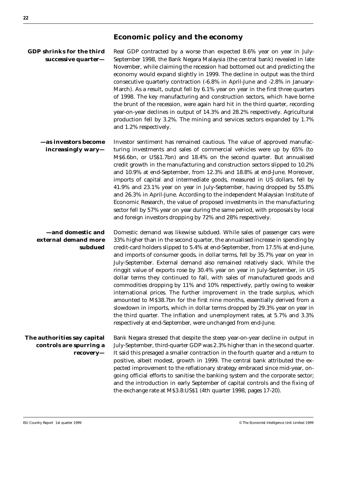| GDP shrinks for the third | Real GDP contracted by a worse than expected 8.6% year on year in July-           |
|---------------------------|-----------------------------------------------------------------------------------|
| successive quarter-       | September 1998, the Bank Negara Malaysia (the central bank) revealed in late      |
|                           | November, while claiming the recession had bottomed out and predicting the        |
|                           | economy would expand slightly in 1999. The decline in output was the third        |
|                           | consecutive quarterly contraction (-6.8% in April-June and -2.8% in January-      |
|                           | March). As a result, output fell by 6.1% year on year in the first three quarters |
|                           | of 1998. The key manufacturing and construction sectors, which have borne         |
|                           | the brunt of the recession, were again hard hit in the third quarter, recording   |
|                           | year-on-year declines in output of 14.3% and 28.2% respectively. Agricultural     |
|                           | production fell by 3.2%. The mining and services sectors expanded by 1.7%         |
|                           | and 1.2% respectively.                                                            |
|                           |                                                                                   |

**—as investors become increasingly wary—** Investor sentiment has remained cautious. The value of approved manufacturing investments and sales of commercial vehicles were up by 65% (to M\$6.6bn, or US\$1.7bn) and 18.4% on the second quarter. But annualised credit growth in the manufacturing and construction sectors slipped to 10.2% and 10.9% at end-September, from 12.3% and 18.8% at end-June. Moreover, imports of capital and intermediate goods, measured in US dollars, fell by 41.9% and 23.1% year on year in July-September, having dropped by 55.8% and 26.3% in April-June. According to the independent Malaysian Institute of Economic Research, the value of proposed investments in the manufacturing sector fell by 57% year on year during the same period, with proposals by local and foreign investors dropping by 72% and 28% respectively.

**—and domestic and external demand more subdued** Domestic demand was likewise subdued. While sales of passenger cars were 33% higher than in the second quarter, the annualised increase in spending by credit-card holders slipped to 5.4% at end-September, from 17.5% at end-June, and imports of consumer goods, in dollar terms, fell by 35.7% year on year in July-September. External demand also remained relatively slack. While the ringgit value of exports rose by 30.4% year on year in July-September, in US dollar terms they continued to fall, with sales of manufactured goods and commodities dropping by 11% and 10% respectively, partly owing to weaker international prices. The further improvement in the trade surplus, which amounted to M\$38.7bn for the first nine months, essentially derived from a slowdown in imports, which in dollar terms dropped by 29.3% year on year in the third quarter. The inflation and unemployment rates, at 5.7% and 3.3% respectively at end-September, were unchanged from end-June.

**The authorities say capital controls are spurring a recovery—** Bank Negara stressed that despite the steep year-on-year decline in output in July-September, third-quarter GDP was 2.3% higher than in the second quarter. It said this presaged a smaller contraction in the fourth quarter and a return to positive, albeit modest, growth in 1999. The central bank attributed the expected improvement to the reflationary strategy embraced since mid-year, ongoing official efforts to sanitise the banking system and the corporate sector; and the introduction in early September of capital controls and the fixing of the exchange rate at M\$3.8:US\$1 (4th quarter 1998, pages 17-20).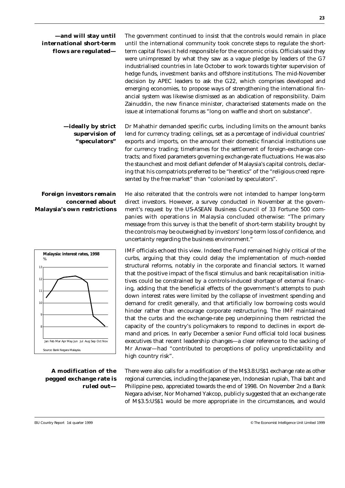| -and will stay until<br>international short-term<br>flows are regulated- | The government continued to insist that the controls would remain in place<br>until the international community took concrete steps to regulate the short-<br>term capital flows it held responsible for the economic crisis. Officials said they<br>were unimpressed by what they saw as a vague pledge by leaders of the G7<br>industrialised countries in late October to work towards tighter supervision of<br>hedge funds, investment banks and offshore institutions. The mid-November<br>decision by APEC leaders to ask the G22, which comprises developed and<br>emerging economies, to propose ways of strengthening the international fin-<br>ancial system was likewise dismissed as an abdication of responsibility. Daim<br>Zainuddin, the new finance minister, characterised statements made on the<br>issue at international forums as "long on waffle and short on substance". |
|--------------------------------------------------------------------------|---------------------------------------------------------------------------------------------------------------------------------------------------------------------------------------------------------------------------------------------------------------------------------------------------------------------------------------------------------------------------------------------------------------------------------------------------------------------------------------------------------------------------------------------------------------------------------------------------------------------------------------------------------------------------------------------------------------------------------------------------------------------------------------------------------------------------------------------------------------------------------------------------|
| -ideally by strict<br>supervision of<br>"speculators"                    | Dr Mahathir demanded specific curbs, including limits on the amount banks<br>lend for currency trading; ceilings, set as a percentage of individual countries'<br>exports and imports, on the amount their domestic financial institutions use<br>for currency trading; timeframes for the settlement of foreign-exchange con-<br>tracts; and fixed parameters governing exchange-rate fluctuations. He was also<br>the staunchest and most defiant defender of Malaysia's capital controls, declar-<br>ing that his compatriots preferred to be "heretics" of the "religious creed repre-<br>sented by the free market" than "colonised by speculators".                                                                                                                                                                                                                                         |

#### **Foreign investors remain concerned about Malaysia's own restrictions**



**A modification of the pegged exchange rate is ruled out—** He also reiterated that the controls were not intended to hamper long-term direct investors. However, a survey conducted in November at the government's request by the US-ASEAN Business Council of 33 Fortune 500 companies with operations in Malaysia concluded otherwise: "The primary message from this survey is that the benefit of short-term stability brought by the controls may be outweighed by investors' long-term loss of confidence, and uncertainty regarding the business environment."

IMF officials echoed this view. Indeed the Fund remained highly critical of the curbs, arguing that they could delay the implementation of much-needed structural reforms, notably in the corporate and financial sectors. It warned that the positive impact of the fiscal stimulus and bank recapitalisation initiatives could be constrained by a controls-induced shortage of external financing, adding that the beneficial effects of the government's attempts to push down interest rates were limited by the collapse of investment spending and demand for credit generally, and that artificially low borrowing costs would hinder rather than encourage corporate restructuring. The IMF maintained that the curbs and the exchange-rate peg underpinning them restricted the capacity of the country's policymakers to respond to declines in export demand and prices. In early December a senior Fund official told local business executives that recent leadership changes—a clear reference to the sacking of Mr Anwar—had "contributed to perceptions of policy unpredictability and high country risk".

There were also calls for a modification of the M\$3.8:US\$1 exchange rate as other regional currencies, including the Japanese yen, Indonesian rupiah, Thai baht and Philippine peso, appreciated towards the end of 1998. On November 2nd a Bank Negara adviser, Nor Mohamed Yakcop, publicly suggested that an exchange rate of M\$3.5:US\$1 would be more appropriate in the circumstances, and would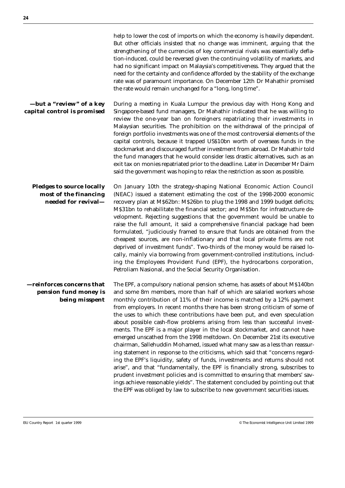|                                                                                  | help to lower the cost of imports on which the economy is heavily dependent.<br>But other officials insisted that no change was imminent, arguing that the<br>strengthening of the currencies of key commercial rivals was essentially defla-<br>tion-induced, could be reversed given the continuing volatility of markets, and<br>had no significant impact on Malaysia's competitiveness. They argued that the<br>need for the certainty and confidence afforded by the stability of the exchange<br>rate was of paramount importance. On December 12th Dr Mahathir promised<br>the rate would remain unchanged for a "long, long time".                                                                                                                                                                                                                                                                                                                                                                                                                                                                                                                                                                              |
|----------------------------------------------------------------------------------|--------------------------------------------------------------------------------------------------------------------------------------------------------------------------------------------------------------------------------------------------------------------------------------------------------------------------------------------------------------------------------------------------------------------------------------------------------------------------------------------------------------------------------------------------------------------------------------------------------------------------------------------------------------------------------------------------------------------------------------------------------------------------------------------------------------------------------------------------------------------------------------------------------------------------------------------------------------------------------------------------------------------------------------------------------------------------------------------------------------------------------------------------------------------------------------------------------------------------|
| -but a "review" of a key<br>capital control is promised                          | During a meeting in Kuala Lumpur the previous day with Hong Kong and<br>Singapore-based fund managers, Dr Mahathir indicated that he was willing to<br>review the one-year ban on foreigners repatriating their investments in<br>Malaysian securities. The prohibition on the withdrawal of the principal of<br>foreign portfolio investments was one of the most controversial elements of the<br>capital controls, because it trapped US\$10bn worth of overseas funds in the<br>stockmarket and discouraged further investment from abroad. Dr Mahathir told<br>the fund managers that he would consider less drastic alternatives, such as an<br>exit tax on monies repatriated prior to the deadline. Later in December Mr Daim<br>said the government was hoping to relax the restriction as soon as possible.                                                                                                                                                                                                                                                                                                                                                                                                    |
| <b>Pledges to source locally</b><br>most of the financing<br>needed for revival- | On January 10th the strategy-shaping National Economic Action Council<br>(NEAC) issued a statement estimating the cost of the 1998-2000 economic<br>recovery plan at M\$62bn: M\$26bn to plug the 1998 and 1999 budget deficits;<br>M\$31bn to rehabilitate the financial sector; and M\$5bn for infrastructure de-<br>velopment. Rejecting suggestions that the government would be unable to<br>raise the full amount, it said a comprehensive financial package had been<br>formulated, "judiciously framed to ensure that funds are obtained from the<br>cheapest sources, are non-inflationary and that local private firms are not<br>deprived of investment funds". Two-thirds of the money would be raised lo-<br>cally, mainly via borrowing from government-controlled institutions, includ-<br>ing the Employees Provident Fund (EPF), the hydrocarbons corporation,<br>Petroliam Nasional, and the Social Security Organisation.                                                                                                                                                                                                                                                                             |
| -reinforces concerns that<br>pension fund money is<br>being misspent             | The EPF, a compulsory national pension scheme, has assets of about M\$140bn<br>and some 8m members, more than half of which are salaried workers whose<br>monthly contribution of 11% of their income is matched by a 12% payment<br>from employers. In recent months there has been strong criticism of some of<br>the uses to which these contributions have been put, and even speculation<br>about possible cash-flow problems arising from less than successful invest-<br>ments. The EPF is a major player in the local stockmarket, and cannot have<br>emerged unscathed from the 1998 meltdown. On December 21st its executive<br>chairman, Sallehuddin Mohamed, issued what many saw as a less than reassur-<br>ing statement in response to the criticisms, which said that "concerns regard-<br>ing the EPF's liquidity, safety of funds, investments and returns should not<br>arise", and that "fundamentally, the EPF is financially strong, subscribes to<br>prudent investment policies and is committed to ensuring that members' sav-<br>ings achieve reasonable yields". The statement concluded by pointing out that<br>the EPF was obliged by law to subscribe to new government securities issues. |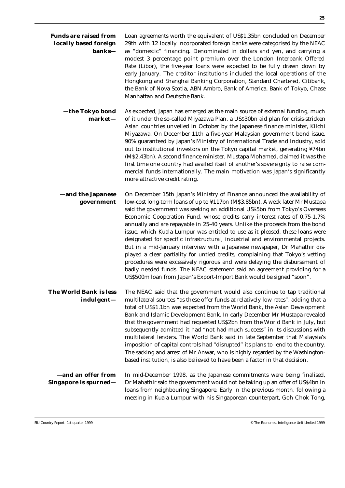| <b>Funds are raised from</b><br>locally based foreign<br>banks- | Loan agreements worth the equivalent of US\$1.35bn concluded on December<br>29th with 12 locally incorporated foreign banks were categorised by the NEAC<br>as "domestic" financing. Denominated in dollars and yen, and carrying a<br>modest 3 percentage point premium over the London Interbank Offered<br>Rate (Libor), the five-year loans were expected to be fully drawn down by<br>early January. The creditor institutions included the local operations of the<br>Hongkong and Shanghai Banking Corporation, Standard Chartered, Citibank,<br>the Bank of Nova Scotia, ABN Ambro, Bank of America, Bank of Tokyo, Chase<br>Manhattan and Deutsche Bank.                                                                                                                                                                                                                                                                                                               |
|-----------------------------------------------------------------|---------------------------------------------------------------------------------------------------------------------------------------------------------------------------------------------------------------------------------------------------------------------------------------------------------------------------------------------------------------------------------------------------------------------------------------------------------------------------------------------------------------------------------------------------------------------------------------------------------------------------------------------------------------------------------------------------------------------------------------------------------------------------------------------------------------------------------------------------------------------------------------------------------------------------------------------------------------------------------|
| —the Tokyo bond<br>market-                                      | As expected, Japan has emerged as the main source of external funding, much<br>of it under the so-called Miyazawa Plan, a US\$30bn aid plan for crisis-stricken<br>Asian countries unveiled in October by the Japanese finance minister, Kiichi<br>Miyazawa. On December 11th a five-year Malaysian government bond issue,<br>90% guaranteed by Japan's Ministry of International Trade and Industry, sold<br>out to institutional investors on the Tokyo capital market, generating ¥74bn<br>(M\$2.43bn). A second finance minister, Mustapa Mohamed, claimed it was the<br>first time one country had availed itself of another's sovereignty to raise com-<br>mercial funds internationally. The main motivation was Japan's significantly<br>more attractive credit rating.                                                                                                                                                                                                 |
| -and the Japanese<br>government                                 | On December 15th Japan's Ministry of Finance announced the availability of<br>low-cost long-term loans of up to ¥117bn (M\$3.85bn). A week later Mr Mustapa<br>said the government was seeking an additional US\$5bn from Tokyo's Overseas<br>Economic Cooperation Fund, whose credits carry interest rates of 0.75-1.7%<br>annually and are repayable in 25-40 years. Unlike the proceeds from the bond<br>issue, which Kuala Lumpur was entitled to use as it pleased, these loans were<br>designated for specific infrastructural, industrial and environmental projects.<br>But in a mid-January interview with a Japanese newspaper, Dr Mahathir dis-<br>played a clear partiality for untied credits, complaining that Tokyo's vetting<br>procedures were excessively rigorous and were delaying the disbursement of<br>badly needed funds. The NEAC statement said an agreement providing for a<br>US\$500m loan from Japan's Export-Import Bank would be signed "soon". |
| The World Bank is less<br>indulgent-                            | The NEAC said that the government would also continue to tap traditional<br>multilateral sources "as these offer funds at relatively low rates", adding that a<br>total of US\$1.1bn was expected from the World Bank, the Asian Development<br>Bank and Islamic Development Bank. In early December Mr Mustapa revealed<br>that the government had requested US\$2bn from the World Bank in July, but<br>subsequently admitted it had "not had much success" in its discussions with<br>multilateral lenders. The World Bank said in late September that Malaysia's<br>imposition of capital controls had "disrupted" its plans to lend to the country.<br>The sacking and arrest of Mr Anwar, who is highly regarded by the Washington-<br>based institution, is also believed to have been a factor in that decision.                                                                                                                                                        |
| -and an offer from<br><b>Singapore is spurned—</b>              | In mid-December 1998, as the Japanese commitments were being finalised,<br>Dr Mahathir said the government would not be taking up an offer of US\$4bn in<br>loans from neighbouring Singapore. Early in the previous month, following a<br>meeting in Kuala Lumpur with his Singaporean counterpart, Goh Chok Tong,                                                                                                                                                                                                                                                                                                                                                                                                                                                                                                                                                                                                                                                             |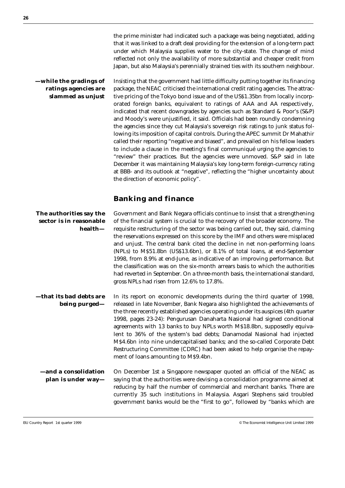**—while the gradings of ratings agencies are slammed as unjust** Insisting that the government had little difficulty putting together its financing package, the NEAC criticised the international credit rating agencies. The attractive pricing of the Tokyo bond issue and of the US\$1.35bn from locally incorporated foreign banks, equivalent to ratings of AAA and AA respectively, indicated that recent downgrades by agencies such as Standard & Poor's (S&P) and Moody's were unjustified, it said. Officials had been roundly condemning the agencies since they cut Malaysia's sovereign risk ratings to junk status following its imposition of capital controls. During the APEC summit Dr Mahathir called their reporting "negative and biased", and prevailed on his fellow leaders to include a clause in the meeting's final communiqué urging the agencies to "review" their practices. But the agencies were unmoved. S&P said in late December it was maintaining Malaysia's key long-term foreign-currency rating at BBB- and its outlook at "negative", reflecting the "higher uncertainty about the direction of economic policy".

### **Banking and finance**

#### **The authorities say the sector is in reasonable health—** Government and Bank Negara officials continue to insist that a strengthening of the financial system is crucial to the recovery of the broader economy. The requisite restructuring of the sector was being carried out, they said, claiming the reservations expressed on this score by the IMF and others were misplaced and unjust. The central bank cited the decline in net non-performing loans (NPLs) to M\$51.8bn (US\$13.6bn), or 8.1% of total loans, at end-September 1998, from 8.9% at end-June, as indicative of an improving performance. But the classification was on the six-month arrears basis to which the authorities had reverted in September. On a three-month basis, the international standard, gross NPLs had risen from 12.6% to 17.8%. **—that its bad debts are being purged—** In its report on economic developments during the third quarter of 1998, released in late November, Bank Negara also highlighted the achievements of the three recently established agencies operating under its auspices (4th quarter 1998, pages 23-24): Pengurusan Danaharta Nasional had signed conditional agreements with 13 banks to buy NPLs worth M\$18.8bn, supposedly equivalent to 36% of the system's bad debts; Danamodal Nasional had injected M\$4.6bn into nine undercapitalised banks; and the so-called Corporate Debt Restructuring Committee (CDRC) had been asked to help organise the repayment of loans amounting to M\$9.4bn. **—and a consolidation plan is under way—** On December 1st a Singapore newspaper quoted an official of the NEAC as saying that the authorities were devising a consolidation programme aimed at

reducing by half the number of commercial and merchant banks. There are currently 35 such institutions in Malaysia. Asgari Stephens said troubled government banks would be the "first to go", followed by "banks which are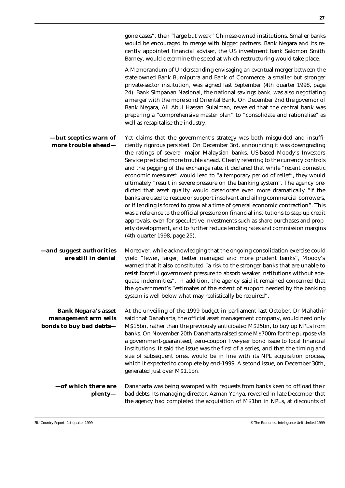|                                                                               | gone cases", then "large but weak" Chinese-owned institutions. Smaller banks<br>would be encouraged to merge with bigger partners. Bank Negara and its re-<br>cently appointed financial adviser, the US investment bank Salomon Smith<br>Barney, would determine the speed at which restructuring would take place.<br>A Memorandum of Understanding envisaging an eventual merger between the<br>state-owned Bank Bumiputra and Bank of Commerce, a smaller but stronger<br>private-sector institution, was signed last September (4th quarter 1998, page<br>24). Bank Simpanan Nasional, the national savings bank, was also negotiating<br>a merger with the more solid Oriental Bank. On December 2nd the governor of<br>Bank Negara, Ali Abul Hassan Sulaiman, revealed that the central bank was<br>preparing a "comprehensive master plan" to "consolidate and rationalise" as<br>well as recapitalise the industry.                                                                                                                                                                                          |
|-------------------------------------------------------------------------------|-----------------------------------------------------------------------------------------------------------------------------------------------------------------------------------------------------------------------------------------------------------------------------------------------------------------------------------------------------------------------------------------------------------------------------------------------------------------------------------------------------------------------------------------------------------------------------------------------------------------------------------------------------------------------------------------------------------------------------------------------------------------------------------------------------------------------------------------------------------------------------------------------------------------------------------------------------------------------------------------------------------------------------------------------------------------------------------------------------------------------|
| -but sceptics warn of<br>more trouble ahead-                                  | Yet claims that the government's strategy was both misguided and insuffi-<br>ciently rigorous persisted. On December 3rd, announcing it was downgrading<br>the ratings of several major Malaysian banks, US-based Moody's Investors<br>Service predicted more trouble ahead. Clearly referring to the currency controls<br>and the pegging of the exchange rate, it declared that while "recent domestic<br>economic measures" would lead to "a temporary period of relief", they would<br>ultimately "result in severe pressure on the banking system". The agency pre-<br>dicted that asset quality would deteriorate even more dramatically "if the<br>banks are used to rescue or support insolvent and ailing commercial borrowers,<br>or if lending is forced to grow at a time of general economic contraction". This<br>was a reference to the official pressure on financial institutions to step up credit<br>approvals, even for speculative investments such as share purchases and prop-<br>erty development, and to further reduce lending rates and commission margins<br>(4th quarter 1998, page 25). |
| -and suggest authorities<br>are still in denial                               | Moreover, while acknowledging that the ongoing consolidation exercise could<br>yield "fewer, larger, better managed and more prudent banks", Moody's<br>warned that it also constituted "a risk to the stronger banks that are unable to<br>resist forceful government pressure to absorb weaker institutions without ade-<br>quate indemnities". In addition, the agency said it remained concerned that<br>the government's "estimates of the extent of support needed by the banking<br>system is well below what may realistically be required".                                                                                                                                                                                                                                                                                                                                                                                                                                                                                                                                                                  |
| <b>Bank Negara's asset</b><br>management arm sells<br>bonds to buy bad debts- | At the unveiling of the 1999 budget in parliament last October, Dr Mahathir<br>said that Danaharta, the official asset management company, would need only<br>M\$15bn, rather than the previously anticipated M\$25bn, to buy up NPLs from<br>banks. On November 20th Danaharta raised some M\$700m for the purpose via<br>a government-guaranteed, zero-coupon five-year bond issue to local financial<br>institutions. It said the issue was the first of a series, and that the timing and<br>size of subsequent ones, would be in line with its NPL acquisition process,<br>which it expected to complete by end-1999. A second issue, on December 30th,<br>generated just over M\$1.1bn.                                                                                                                                                                                                                                                                                                                                                                                                                         |
| -of which there are<br>plenty—                                                | Danaharta was being swamped with requests from banks keen to offload their<br>bad debts. Its managing director, Azman Yahya, revealed in late December that                                                                                                                                                                                                                                                                                                                                                                                                                                                                                                                                                                                                                                                                                                                                                                                                                                                                                                                                                           |

EIU Country Report 1st quarter 1999 © The Economist Intelligence Unit Limited 1999

the agency had completed the acquisition of M\$1bn in NPLs, at discounts of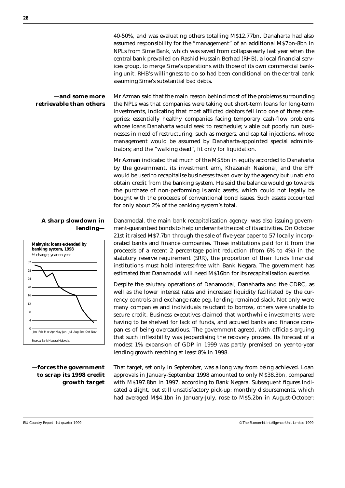40-50%, and was evaluating others totalling M\$12.77bn. Danaharta had also assumed responsibility for the "management" of an additional M\$7bn-8bn in NPLs from Sime Bank, which was saved from collapse early last year when the central bank prevailed on Rashid Hussain Berhad (RHB), a local financial services group, to merge Sime's operations with those of its own commercial banking unit. RHB's willingness to do so had been conditional on the central bank assuming Sime's substantial bad debts.

**—and some more retrievable than others** Mr Azman said that the main reason behind most of the problems surrounding the NPLs was that companies were taking out short-term loans for long-term investments, indicating that most afflicted debtors fell into one of three categories: essentially healthy companies facing temporary cash-flow problems whose loans Danaharta would seek to reschedule; viable but poorly run businesses in need of restructuring, such as mergers, and capital injections, whose management would be assumed by Danaharta-appointed special administrators; and the "walking dead", fit only for liquidation.

> Mr Azman indicated that much of the M\$5bn in equity accorded to Danaharta by the government, its investment arm, Khazanah Nasional, and the EPF would be used to recapitalise businesses taken over by the agency but unable to obtain credit from the banking system. He said the balance would go towards the purchase of non-performing Islamic assets, which could not legally be bought with the proceeds of conventional bond issues. Such assets accounted for only about 2% of the banking system's total.

**A sharp slowdown in lending—**



**—forces the government to scrap its 1998 credit growth target**

Danamodal, the main bank recapitalisation agency, was also issuing government-guaranteed bonds to help underwrite the cost of its activities. On October 21st it raised M\$7.7bn through the sale of five-year paper to 57 locally incorporated banks and finance companies. These institutions paid for it from the proceeds of a recent 2 percentage point reduction (from 6% to 4%) in the statutory reserve requirement (SRR), the proportion of their funds financial institutions must hold interest-free with Bank Negara. The government has estimated that Danamodal will need M\$16bn for its recapitalisation exercise.

Despite the salutary operations of Danamodal, Danaharta and the CDRC, as well as the lower interest rates and increased liquidity facilitated by the currency controls and exchange-rate peg, lending remained slack. Not only were many companies and individuals reluctant to borrow, others were unable to secure credit. Business executives claimed that worthwhile investments were having to be shelved for lack of funds, and accused banks and finance companies of being overcautious. The government agreed, with officials arguing that such inflexibility was jeopardising the recovery process. Its forecast of a modest 1% expansion of GDP in 1999 was partly premised on year-to-year lending growth reaching at least 8% in 1998.

That target, set only in September, was a long way from being achieved. Loan approvals in January-September 1998 amounted to only M\$38.3bn, compared with M\$197.8bn in 1997, according to Bank Negara. Subsequent figures indicated a slight, but still unsatisfactory pick-up: monthly disbursements, which had averaged M\$4.1bn in January-July, rose to M\$5.2bn in August-October;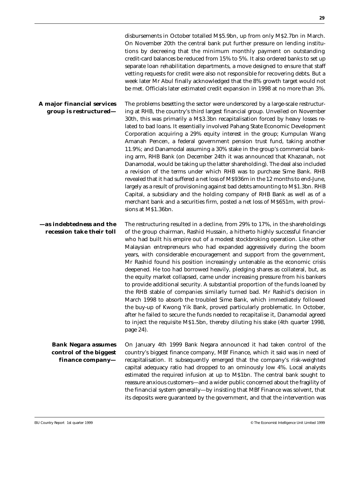|                                                                          | disbursements in October totalled M\$5.9bn, up from only M\$2.7bn in March.<br>On November 20th the central bank put further pressure on lending institu-<br>tions by decreeing that the minimum monthly payment on outstanding<br>credit-card balances be reduced from 15% to 5%. It also ordered banks to set up<br>separate loan rehabilitation departments, a move designed to ensure that staff<br>vetting requests for credit were also not responsible for recovering debts. But a<br>week later Mr Abul finally acknowledged that the 8% growth target would not<br>be met. Officials later estimated credit expansion in 1998 at no more than 3%.                                                                                                                                                                                                                                                                                                                                                                                                                                                                                                                   |
|--------------------------------------------------------------------------|------------------------------------------------------------------------------------------------------------------------------------------------------------------------------------------------------------------------------------------------------------------------------------------------------------------------------------------------------------------------------------------------------------------------------------------------------------------------------------------------------------------------------------------------------------------------------------------------------------------------------------------------------------------------------------------------------------------------------------------------------------------------------------------------------------------------------------------------------------------------------------------------------------------------------------------------------------------------------------------------------------------------------------------------------------------------------------------------------------------------------------------------------------------------------|
| A major financial services<br>group is restructured-                     | The problems besetting the sector were underscored by a large-scale restructur-<br>ing at RHB, the country's third largest financial group. Unveiled on November<br>30th, this was primarily a M\$3.3bn recapitalisation forced by heavy losses re-<br>lated to bad loans. It essentially involved Pahang State Economic Development<br>Corporation acquiring a 29% equity interest in the group; Kumpulan Wang<br>Amanah Pencen, a federal government pension trust fund, taking another<br>11.9%; and Danamodal assuming a 30% stake in the group's commercial bank-<br>ing arm, RHB Bank (on December 24th it was announced that Khazanah, not<br>Danamodal, would be taking up the latter shareholding). The deal also included<br>a revision of the terms under which RHB was to purchase Sime Bank. RHB<br>revealed that it had suffered a net loss of M\$936m in the 12 months to end-June,<br>largely as a result of provisioning against bad debts amounting to M\$1.3bn. RHB<br>Capital, a subsidiary and the holding company of RHB Bank as well as of a<br>merchant bank and a securities firm, posted a net loss of M\$651m, with provi-<br>sions at M\$1.36bn. |
| -as indebtedness and the<br>recession take their toll                    | The restructuring resulted in a decline, from 29% to 17%, in the shareholdings<br>of the group chairman, Rashid Hussain, a hitherto highly successful financier<br>who had built his empire out of a modest stockbroking operation. Like other<br>Malaysian entrepreneurs who had expanded aggressively during the boom<br>years, with considerable encouragement and support from the government,<br>Mr Rashid found his position increasingly untenable as the economic crisis<br>deepened. He too had borrowed heavily, pledging shares as collateral, but, as<br>the equity market collapsed, came under increasing pressure from his bankers<br>to provide additional security. A substantial proportion of the funds loaned by<br>the RHB stable of companies similarly turned bad. Mr Rashid's decision in<br>March 1998 to absorb the troubled Sime Bank, which immediately followed<br>the buy-up of Kwong Yik Bank, proved particularly problematic. In October,<br>after he failed to secure the funds needed to recapitalise it, Danamodal agreed<br>to inject the requisite M\$1.5bn, thereby diluting his stake (4th quarter 1998,<br>page 24).                |
| <b>Bank Negara assumes</b><br>control of the biggest<br>finance company- | On January 4th 1999 Bank Negara announced it had taken control of the<br>country's biggest finance company, MBf Finance, which it said was in need of<br>recapitalisation. It subsequently emerged that the company's risk-weighted<br>capital adequacy ratio had dropped to an ominously low 4%. Local analysts<br>estimated the required infusion at up to M\$1bn. The central bank sought to<br>reassure anxious customers-and a wider public concerned about the fragility of<br>the financial system generally-by insisting that MBf Finance was solvent, that<br>its deposits were guaranteed by the government, and that the intervention was                                                                                                                                                                                                                                                                                                                                                                                                                                                                                                                         |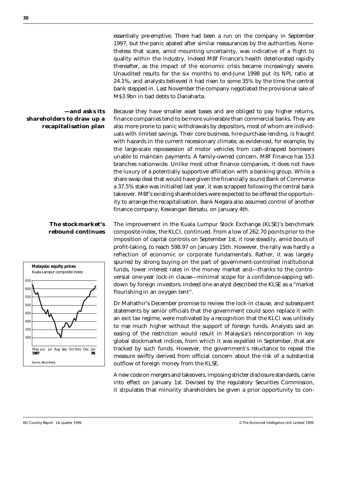essentially pre-emptive. There had been a run on the company in September 1997, but the panic abated after similar reassurances by the authorities. Nonetheless that scare, amid mounting uncertainty, was indicative of a flight to quality within the industry. Indeed MBf Finance's health deteriorated rapidly thereafter, as the impact of the economic crisis became increasingly severe. Unaudited results for the six months to end-June 1998 put its NPL ratio at 24.1%, and analysts believed it had risen to some 35% by the time the central bank stepped in. Last November the company negotiated the provisional sale of M\$3.9bn in bad debts to Danaharta.

#### **—and asks its shareholders to draw up a recapitalisation plan**

Because they have smaller asset bases and are obliged to pay higher returns, finance companies tend to be more vulnerable than commercial banks. They are also more prone to panic withdrawals by depositors, most of whom are individuals with limited savings. Their core business, hire-purchase lending, is fraught with hazards in the current recessionary climate, as evidenced, for example, by the large-scale repossession of motor vehicles from cash-strapped borrowers unable to maintain payments. A family-owned concern, MBf Finance has 153 branches nationwide. Unlike most other finance companies, it does not have the luxury of a potentially supportive affiliation with a banking group. While a share swap deal that would have given the financially sound Bank of Commerce a 37.5% stake was initialled last year, it was scrapped following the central bank takeover. MBf's existing shareholders were expected to be offered the opportunity to arrange the recapitalisation. Bank Negara also assumed control of another finance company, Kewangan Bersatu, on January 4th.

#### **The stockmarket's rebound continues**



The improvement in the Kuala Lumpur Stock Exchange (KLSE)'s benchmark composite index, the KLCI, continued. From a low of 262.70 points prior to the imposition of capital controls on September 1st, it rose steadily, amid bouts of profit-taking, to reach 598.97 on January 15th. However, the rally was hardly a reflection of economic or corporate fundamentals. Rather, it was largely spurred by strong buying on the part of government-controlled institutional funds, lower interest rates in the money market and—thanks to the controversial one-year lock-in clause—minimal scope for a confidence-sapping selldown by foreign investors. Indeed one analyst described the KLSE as a "market flourishing in an oxygen tent".

Dr Mahathir's December promise to review the lock-in clause, and subsequent statements by senior officials that the government could soon replace it with an exit tax regime, were motivated by a recognition that the KLCI was unlikely to rise much higher without the support of foreign funds. Analysts said an easing of the restriction would result in Malaysia's reincorporation in key global stockmarket indices, from which it was expelled in September, that are tracked by such funds. However, the government's reluctance to repeal the measure swiftly derived from official concern about the risk of a substantial outflow of foreign money from the KLSE.

A new code on mergers and takeovers, imposing stricter disclosure standards, came into effect on January 1st. Devised by the regulatory Securities Commission, it stipulates that minority shareholders be given a prior opportunity to con-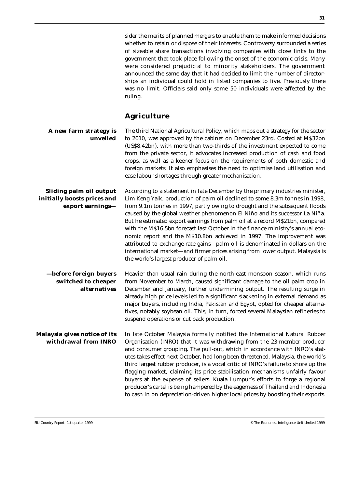|                                                                                   | sider the merits of planned mergers to enable them to make informed decisions<br>whether to retain or dispose of their interests. Controversy surrounded a series<br>of sizeable share transactions involving companies with close links to the<br>government that took place following the onset of the economic crisis. Many<br>were considered prejudicial to minority stakeholders. The government<br>announced the same day that it had decided to limit the number of director-<br>ships an individual could hold in listed companies to five. Previously there<br>was no limit. Officials said only some 50 individuals were affected by the<br>ruling.                                                                                                                   |
|-----------------------------------------------------------------------------------|----------------------------------------------------------------------------------------------------------------------------------------------------------------------------------------------------------------------------------------------------------------------------------------------------------------------------------------------------------------------------------------------------------------------------------------------------------------------------------------------------------------------------------------------------------------------------------------------------------------------------------------------------------------------------------------------------------------------------------------------------------------------------------|
|                                                                                   | <b>Agriculture</b>                                                                                                                                                                                                                                                                                                                                                                                                                                                                                                                                                                                                                                                                                                                                                               |
| A new farm strategy is<br>unveiled                                                | The third National Agricultural Policy, which maps out a strategy for the sector<br>to 2010, was approved by the cabinet on December 23rd. Costed at M\$32bn<br>(US\$8.42bn), with more than two-thirds of the investment expected to come<br>from the private sector, it advocates increased production of cash and food<br>crops, as well as a keener focus on the requirements of both domestic and<br>foreign markets. It also emphasises the need to optimise land utilisation and<br>ease labour shortages through greater mechanisation.                                                                                                                                                                                                                                  |
| <b>Sliding palm oil output</b><br>initially boosts prices and<br>export earnings- | According to a statement in late December by the primary industries minister,<br>Lim Keng Yaik, production of palm oil declined to some 8.3m tonnes in 1998,<br>from 9.1m tonnes in 1997, partly owing to drought and the subsequent floods<br>caused by the global weather phenomenon El Niño and its successor La Niña.<br>But he estimated export earnings from palm oil at a record M\$21bn, compared<br>with the M\$16.5bn forecast last October in the finance ministry's annual eco-<br>nomic report and the M\$10.8bn achieved in 1997. The improvement was<br>attributed to exchange-rate gains-palm oil is denominated in dollars on the<br>international market-and firmer prices arising from lower output. Malaysia is<br>the world's largest producer of palm oil. |
| -before foreign buyers<br>switched to cheaper<br><i>alternatives</i>              | Heavier than usual rain during the north-east monsoon season, which runs<br>from November to March, caused significant damage to the oil palm crop in<br>December and January, further undermining output. The resulting surge in<br>already high price levels led to a significant slackening in external demand as<br>major buyers, including India, Pakistan and Egypt, opted for cheaper alterna-<br>tives, notably soybean oil. This, in turn, forced several Malaysian refineries to<br>suspend operations or cut back production.                                                                                                                                                                                                                                         |
| Malaysia gives notice of its<br>withdrawal from INRO                              | In late October Malaysia formally notified the International Natural Rubber<br>Organisation (INRO) that it was withdrawing from the 23-member producer<br>and consumer grouping. The pull-out, which in accordance with INRO's stat-<br>utes takes effect next October, had long been threatened. Malaysia, the world's<br>third largest rubber producer, is a vocal critic of INRO's failure to shore up the<br>flagging market, claiming its price stabilisation mechanisms unfairly favour<br>buyers at the expense of sellers. Kuala Lumpur's efforts to forge a regional<br>producer's cartel is being hampered by the eagerness of Thailand and Indonesia<br>to cash in on depreciation-driven higher local prices by boosting their exports.                              |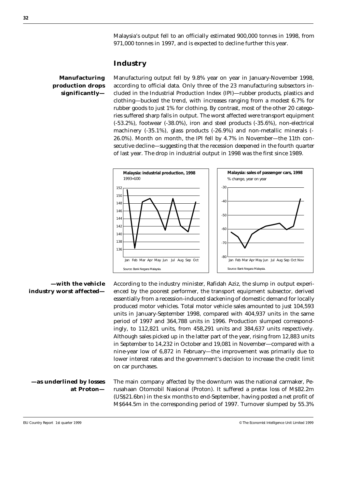Malaysia's output fell to an officially estimated 900,000 tonnes in 1998, from 971,000 tonnes in 1997, and is expected to decline further this year.

#### **Industry**

#### **Manufacturing production drops significantly—**

Manufacturing output fell by 9.8% year on year in January-November 1998, according to official data. Only three of the 23 manufacturing subsectors included in the Industrial Production Index (IPI)—rubber products, plastics and clothing—bucked the trend, with increases ranging from a modest 6.7% for rubber goods to just 1% for clothing. By contrast, most of the other 20 categories suffered sharp falls in output. The worst affected were transport equipment (-53.2%), footwear (-38.0%), iron and steel products (-35.6%), non-electrical machinery (-35.1%), glass products (-26.9%) and non-metallic minerals (- 26.0%). Month on month, the IPI fell by 4.7% in November—the 11th consecutive decline—suggesting that the recession deepened in the fourth quarter of last year. The drop in industrial output in 1998 was the first since 1989.



#### **—with the vehicle industry worst affected—**

According to the industry minister, Rafidah Aziz, the slump in output experienced by the poorest performer, the transport equipment subsector, derived essentially from a recession-induced slackening of domestic demand for locally produced motor vehicles. Total motor vehicle sales amounted to just 104,593 units in January-September 1998, compared with 404,937 units in the same period of 1997 and 364,788 units in 1996. Production slumped correspondingly, to 112,821 units, from 458,291 units and 384,637 units respectively. Although sales picked up in the latter part of the year, rising from 12,883 units in September to 14,232 in October and 19,081 in November—compared with a nine-year low of 6,872 in February—the improvement was primarily due to lower interest rates and the government's decision to increase the credit limit on car purchases.

**—as underlined by losses at Proton—** The main company affected by the downturn was the national carmaker, Perusahaan Otomobil Nasional (Proton). It suffered a pretax loss of M\$82.2m (US\$21.6bn) in the six months to end-September, having posted a net profit of M\$644.5m in the corresponding period of 1997. Turnover slumped by 55.3%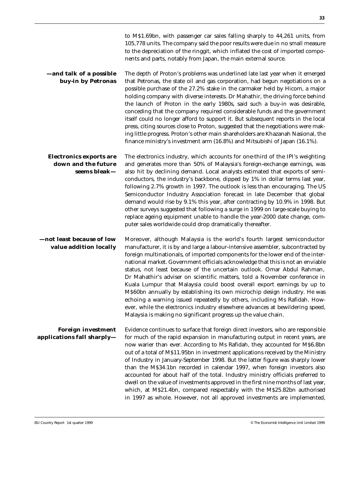|                                                                       | to M\$1.69bn, with passenger car sales falling sharply to 44,261 units, from<br>105,778 units. The company said the poor results were due in no small measure<br>to the depreciation of the ringgit, which inflated the cost of imported compo-<br>nents and parts, notably from Japan, the main external source.                                                                                                                                                                                                                                                                                                                                                                                                                                                                                                                                                               |
|-----------------------------------------------------------------------|---------------------------------------------------------------------------------------------------------------------------------------------------------------------------------------------------------------------------------------------------------------------------------------------------------------------------------------------------------------------------------------------------------------------------------------------------------------------------------------------------------------------------------------------------------------------------------------------------------------------------------------------------------------------------------------------------------------------------------------------------------------------------------------------------------------------------------------------------------------------------------|
| -and talk of a possible<br>buy-in by Petronas                         | The depth of Proton's problems was underlined late last year when it emerged<br>that Petronas, the state oil and gas corporation, had begun negotiations on a<br>possible purchase of the 27.2% stake in the carmaker held by Hicom, a major<br>holding company with diverse interests. Dr Mahathir, the driving force behind<br>the launch of Proton in the early 1980s, said such a buy-in was desirable,<br>conceding that the company required considerable funds and the government<br>itself could no longer afford to support it. But subsequent reports in the local<br>press, citing sources close to Proton, suggested that the negotiations were mak-<br>ing little progress. Proton's other main shareholders are Khazanah Nasional, the<br>finance ministry's investment arm (16.8%) and Mitsubishi of Japan (16.1%).                                              |
| <b>Electronics exports are</b><br>down and the future<br>seems bleak- | The electronics industry, which accounts for one-third of the IPI's weighting<br>and generates more than 50% of Malaysia's foreign-exchange earnings, was<br>also hit by declining demand. Local analysts estimated that exports of semi-<br>conductors, the industry's backbone, dipped by 1% in dollar terms last year,<br>following 2.7% growth in 1997. The outlook is less than encouraging. The US<br>Semiconductor Industry Association forecast in late December that global<br>demand would rise by 9.1% this year, after contracting by 10.9% in 1998. But<br>other surveys suggested that following a surge in 1999 on large-scale buying to<br>replace ageing equipment unable to handle the year-2000 date change, com-<br>puter sales worldwide could drop dramatically thereafter.                                                                               |
| -not least because of low<br>value addition locally                   | Moreover, although Malaysia is the world's fourth largest semiconductor<br>manufacturer, it is by and large a labour-intensive assembler, subcontracted by<br>foreign multinationals, of imported components for the lower end of the inter-<br>national market. Government officials acknowledge that this is not an enviable<br>status, not least because of the uncertain outlook. Omar Abdul Rahman,<br>Dr Mahathir's adviser on scientific matters, told a November conference in<br>Kuala Lumpur that Malaysia could boost overall export earnings by up to<br>M\$60bn annually by establishing its own microchip design industry. He was<br>echoing a warning issued repeatedly by others, including Ms Rafidah. How-<br>ever, while the electronics industry elsewhere advances at bewildering speed,<br>Malaysia is making no significant progress up the value chain. |
| <b>Foreign investment</b><br>applications fall sharply—               | Evidence continues to surface that foreign direct investors, who are responsible<br>for much of the rapid expansion in manufacturing output in recent years, are<br>now warier than ever. According to Ms Rafidah, they accounted for M\$6.8bn<br>out of a total of M\$11.95bn in investment applications received by the Ministry<br>of Industry in January-September 1998. But the latter figure was sharply lower<br>than the M\$34.1bn recorded in calendar 1997, when foreign investors also<br>accounted for about half of the total. Industry ministry officials preferred to<br>dwell on the value of investments approved in the first nine months of last year,<br>which, at M\$21.4bn, compared respectably with the M\$25.82bn authorised<br>in 1997 as whole. However, not all approved investments are implemented,                                               |

EIU Country Report 1st quarter 1999 © The Economist Intelligence Unit Limited 1999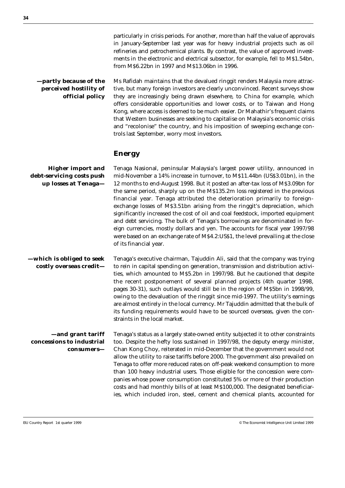particularly in crisis periods. For another, more than half the value of approvals in January-September last year was for heavy industrial projects such as oil refineries and petrochemical plants. By contrast, the value of approved investments in the electronic and electrical subsector, for example, fell to M\$1.54bn, from M\$6.22bn in 1997 and M\$13.06bn in 1996.

**—partly because of the perceived hostility of official policy** Ms Rafidah maintains that the devalued ringgit renders Malaysia more attractive, but many foreign investors are clearly unconvinced. Recent surveys show they are increasingly being drawn elsewhere, to China for example, which offers considerable opportunities and lower costs, or to Taiwan and Hong Kong, where access is deemed to be much easier. Dr Mahathir's frequent claims that Western businesses are seeking to capitalise on Malaysia's economic crisis and "recolonise" the country, and his imposition of sweeping exchange controls last September, worry most investors.

#### **Energy**

**Higher import and debt-servicing costs push up losses at Tenaga—** Tenaga Nasional, peninsular Malaysia's largest power utility, announced in mid-November a 14% increase in turnover, to M\$11.44bn (US\$3.01bn), in the 12 months to end-August 1998. But it posted an after-tax loss of M\$3.09bn for the same period, sharply up on the M\$135.2m loss registered in the previous financial year. Tenaga attributed the deterioration primarily to foreignexchange losses of M\$3.51bn arising from the ringgit's depreciation, which significantly increased the cost of oil and coal feedstock, imported equipment and debt servicing. The bulk of Tenaga's borrowings are denominated in foreign currencies, mostly dollars and yen. The accounts for fiscal year 1997/98 were based on an exchange rate of M\$4.2:US\$1, the level prevailing at the close of its financial year.

**—which is obliged to seek costly overseas credit—** Tenaga's executive chairman, Tajuddin Ali, said that the company was trying to rein in capital spending on generation, transmission and distribution activities, which amounted to M\$5.2bn in 1997/98. But he cautioned that despite the recent postponement of several planned projects (4th quarter 1998, pages 30-31), such outlays would still be in the region of M\$5bn in 1998/99, owing to the devaluation of the ringgit since mid-1997. The utility's earnings are almost entirely in the local currency. Mr Tajuddin admitted that the bulk of its funding requirements would have to be sourced overseas, given the constraints in the local market.

**—and grant tariff concessions to industrial consumers—** Tenaga's status as a largely state-owned entity subjected it to other constraints too. Despite the hefty loss sustained in 1997/98, the deputy energy minister, Chan Kong Choy, reiterated in mid-December that the government would not allow the utility to raise tariffs before 2000. The government also prevailed on Tenaga to offer more reduced rates on off-peak weekend consumption to more than 100 heavy industrial users. Those eligible for the concession were companies whose power consumption constituted 5% or more of their production costs and had monthly bills of at least M\$100,000. The designated beneficiaries, which included iron, steel, cement and chemical plants, accounted for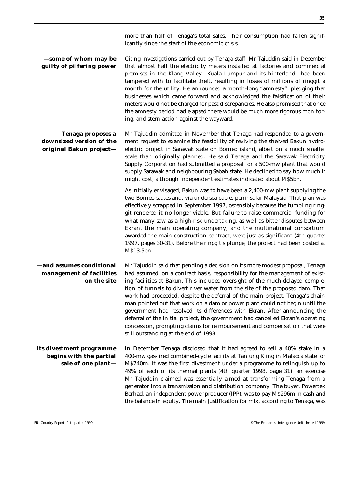| -some of whom may be<br>guilty of pilfering power                         | Citing investigations carried out by Tenaga staff, Mr Tajuddin said in December<br>that almost half the electricity meters installed at factories and commercial<br>premises in the Klang Valley-Kuala Lumpur and its hinterland-had been<br>tampered with to facilitate theft, resulting in losses of millions of ringgit a<br>month for the utility. He announced a month-long "amnesty", pledging that<br>businesses which came forward and acknowledged the falsification of their<br>meters would not be charged for past discrepancies. He also promised that once<br>the amnesty period had elapsed there would be much more rigorous monitor-<br>ing, and stern action against the wayward.                                                                                 |
|---------------------------------------------------------------------------|-------------------------------------------------------------------------------------------------------------------------------------------------------------------------------------------------------------------------------------------------------------------------------------------------------------------------------------------------------------------------------------------------------------------------------------------------------------------------------------------------------------------------------------------------------------------------------------------------------------------------------------------------------------------------------------------------------------------------------------------------------------------------------------|
| Tenaga proposes a<br>downsized version of the<br>original Bakun project-  | Mr Tajuddin admitted in November that Tenaga had responded to a govern-<br>ment request to examine the feasibility of reviving the shelved Bakun hydro-<br>electric project in Sarawak state on Borneo island, albeit on a much smaller<br>scale than originally planned. He said Tenaga and the Sarawak Electricity<br>Supply Corporation had submitted a proposal for a 500-mw plant that would<br>supply Sarawak and neighbouring Sabah state. He declined to say how much it<br>might cost, although independent estimates indicated about M\$5bn.                                                                                                                                                                                                                              |
|                                                                           | As initially envisaged, Bakun was to have been a 2,400-mw plant supplying the<br>two Borneo states and, via undersea cable, peninsular Malaysia. That plan was<br>effectively scrapped in September 1997, ostensibly because the tumbling ring-<br>git rendered it no longer viable. But failure to raise commercial funding for<br>what many saw as a high-risk undertaking, as well as bitter disputes between<br>Ekran, the main operating company, and the multinational consortium<br>awarded the main construction contract, were just as significant (4th quarter<br>1997, pages 30-31). Before the ringgit's plunge, the project had been costed at<br>M\$13.5bn.                                                                                                           |
| -and assumes conditional<br>management of facilities<br>on the site       | Mr Tajuddin said that pending a decision on its more modest proposal, Tenaga<br>had assumed, on a contract basis, responsibility for the management of exist-<br>ing facilities at Bakun. This included oversight of the much-delayed comple-<br>tion of tunnels to divert river water from the site of the proposed dam. That<br>work had proceeded, despite the deferral of the main project. Tenaga's chair-<br>man pointed out that work on a dam or power plant could not begin until the<br>government had resolved its differences with Ekran. After announcing the<br>deferral of the initial project, the government had cancelled Ekran's operating<br>concession, prompting claims for reimbursement and compensation that were<br>still outstanding at the end of 1998. |
| Its divestment programme<br>begins with the partial<br>sale of one plant- | In December Tenaga disclosed that it had agreed to sell a 40% stake in a<br>400-mw gas-fired combined-cycle facility at Tanjung Kling in Malacca state for<br>M\$740m. It was the first divestment under a programme to relinquish up to<br>49% of each of its thermal plants (4th quarter 1998, page 31), an exercise<br>Mr Tajuddin claimed was essentially aimed at transforming Tenaga from a<br>generator into a transmission and distribution company. The buyer, Powertek<br>Berhad, an independent power producer (IPP), was to pay M\$296m in cash and<br>the balance in equity. The main justification for mix, according to Tenaga, was                                                                                                                                  |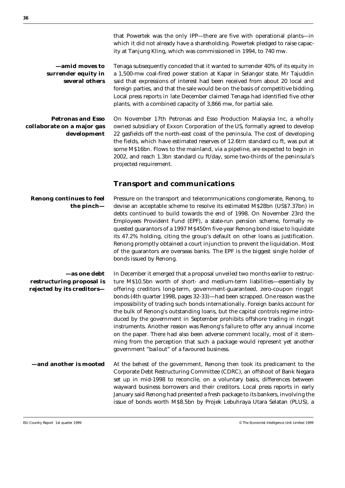that Powertek was the only IPP—there are five with operational plants—in which it did not already have a shareholding. Powertek pledged to raise capacity at Tanjung Kling, which was commissioned in 1994, to 740 mw.

**—amid moves to surrender equity in several others** Tenaga subsequently conceded that it wanted to surrender 40% of its equity in a 1,500-mw coal-fired power station at Kapar in Selangor state. Mr Tajuddin said that expressions of interest had been received from about 20 local and foreign parties, and that the sale would be on the basis of competitive bidding. Local press reports in late December claimed Tenaga had identified five other plants, with a combined capacity of 3,866 mw, for partial sale.

**Petronas and Esso collaborate on a major gas development** On November 17th Petronas and Esso Production Malaysia Inc, a wholly owned subsidiary of Exxon Corporation of the US, formally agreed to develop 22 gasfields off the north-east coast of the peninsula. The cost of developing the fields, which have estimated reserves of 12.6trn standard cu ft, was put at some M\$16bn. Flows to the mainland, via a pipeline, are expected to begin in 2002, and reach 1.3bn standard cu ft/day, some two-thirds of the peninsula's projected requirement.

#### **Transport and communications**

**Renong continues to feel the pinch—** Pressure on the transport and telecommunications conglomerate, Renong, to devise an acceptable scheme to resolve its estimated M\$28bn (US\$7.37bn) in debts continued to build towards the end of 1998. On November 23rd the Employees Provident Fund (EPF), a state-run pension scheme, formally requested guarantors of a 1997 M\$450m five-year Renong bond issue to liquidate its 47.2% holding, citing the group's default on other loans as justification. Renong promptly obtained a court injunction to prevent the liquidation. Most of the guarantors are overseas banks. The EPF is the biggest single holder of bonds issued by Renong.

**—as one debt restructuring proposal is rejected by its creditors—** In December it emerged that a proposal unveiled two months earlier to restructure M\$10.5bn worth of short- and medium-term liabilities—essentially by offering creditors long-term, government-guaranteed, zero-coupon ringgit bonds (4th quarter 1998, pages 32-33)—had been scrapped. One reason was the impossibility of trading such bonds internationally. Foreign banks account for the bulk of Renong's outstanding loans, but the capital controls regime introduced by the government in September prohibits offshore trading in ringgit instruments. Another reason was Renong's failure to offer any annual income on the paper. There had also been adverse comment locally, most of it stemming from the perception that such a package would represent yet another government "bailout" of a favoured business.

**—and another is mooted** At the behest of the government, Renong then took its predicament to the Corporate Debt Restructuring Committee (CDRC), an offshoot of Bank Negara set up in mid-1998 to reconcile, on a voluntary basis, differences between wayward business borrowers and their creditors. Local press reports in early January said Renong had presented a fresh package to its bankers, involving the issue of bonds worth M\$8.5bn by Projek Lebuhraya Utara Selatan (PLUS), a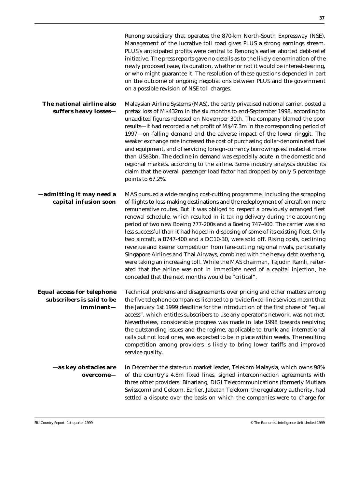|                                                                             | Renong subsidiary that operates the 870-km North-South Expressway (NSE).<br>Management of the lucrative toll road gives PLUS a strong earnings stream.<br>PLUS's anticipated profits were central to Renong's earlier aborted debt-relief<br>initiative. The press reports gave no details as to the likely denomination of the<br>newly proposed issue, its duration, whether or not it would be interest-bearing,<br>or who might guarantee it. The resolution of these questions depended in part<br>on the outcome of ongoing negotiations between PLUS and the government<br>on a possible revision of NSE toll charges.                                                                                                                                                                                                                                                                                                                                                  |
|-----------------------------------------------------------------------------|--------------------------------------------------------------------------------------------------------------------------------------------------------------------------------------------------------------------------------------------------------------------------------------------------------------------------------------------------------------------------------------------------------------------------------------------------------------------------------------------------------------------------------------------------------------------------------------------------------------------------------------------------------------------------------------------------------------------------------------------------------------------------------------------------------------------------------------------------------------------------------------------------------------------------------------------------------------------------------|
| The national airline also<br>suffers heavy losses-                          | Malaysian Airline Systems (MAS), the partly privatised national carrier, posted a<br>pretax loss of M\$432m in the six months to end-September 1998, according to<br>unaudited figures released on November 30th. The company blamed the poor<br>results-it had recorded a net profit of M\$47.3m in the corresponding period of<br>1997-on falling demand and the adverse impact of the lower ringgit. The<br>weaker exchange rate increased the cost of purchasing dollar-denominated fuel<br>and equipment, and of servicing foreign-currency borrowings estimated at more<br>than US\$3bn. The decline in demand was especially acute in the domestic and<br>regional markets, according to the airline. Some industry analysts doubted its<br>claim that the overall passenger load factor had dropped by only 5 percentage<br>points to 67.2%.                                                                                                                           |
| -admitting it may need a<br>capital infusion soon                           | MAS pursued a wide-ranging cost-cutting programme, including the scrapping<br>of flights to loss-making destinations and the redeployment of aircraft on more<br>remunerative routes. But it was obliged to respect a previously arranged fleet<br>renewal schedule, which resulted in it taking delivery during the accounting<br>period of two new Boeing 777-200s and a Boeing 747-400. The carrier was also<br>less successful than it had hoped in disposing of some of its existing fleet. Only<br>two aircraft, a B747-400 and a DC10-30, were sold off. Rising costs, declining<br>revenue and keener competition from fare-cutting regional rivals, particularly<br>Singapore Airlines and Thai Airways, combined with the heavy debt overhang,<br>were taking an increasing toll. While the MAS chairman, Tajudin Ramli, reiter-<br>ated that the airline was not in immediate need of a capital injection, he<br>conceded that the next months would be "critical". |
| <b>Equal access for telephone</b><br>subscribers is said to be<br>imminent- | Technical problems and disagreements over pricing and other matters among<br>the five telephone companies licensed to provide fixed-line services meant that<br>the January 1st 1999 deadline for the introduction of the first phase of "equal<br>access", which entitles subscribers to use any operator's network, was not met.<br>Nevertheless, considerable progress was made in late 1998 towards resolving<br>the outstanding issues and the regime, applicable to trunk and international<br>calls but not local ones, was expected to be in place within weeks. The resulting<br>competition among providers is likely to bring lower tariffs and improved<br>service quality.                                                                                                                                                                                                                                                                                        |
| —as key obstacles are<br>overcome-                                          | In December the state-run market leader, Telekom Malaysia, which owns 98%<br>of the country's 4.8m fixed lines, signed interconnection agreements with<br>three other providers: Binariang, DiGi Telecommunications (formerly Mutiara<br>Swisscom) and Celcom. Earlier, Jabatan Telekom, the regulatory authority, had<br>settled a dispute over the basis on which the companies were to charge for                                                                                                                                                                                                                                                                                                                                                                                                                                                                                                                                                                           |
|                                                                             |                                                                                                                                                                                                                                                                                                                                                                                                                                                                                                                                                                                                                                                                                                                                                                                                                                                                                                                                                                                |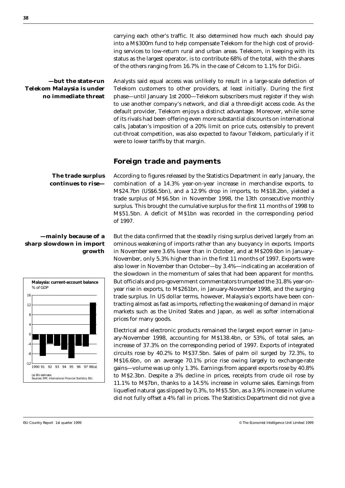carrying each other's traffic. It also determined how much each should pay into a M\$300m fund to help compensate Telekom for the high cost of providing services to low-return rural and urban areas. Telekom, in keeping with its status as the largest operator, is to contribute 68% of the total, with the shares of the others ranging from 16.7% in the case of Celcom to 1.1% for DiGi.

**—but the state-run Telekom Malaysia is under no immediate threat** Analysts said equal access was unlikely to result in a large-scale defection of Telekom customers to other providers, at least initially. During the first phase—until January 1st 2000—Telekom subscribers must register if they wish to use another company's network, and dial a three-digit access code. As the default provider, Telekom enjoys a distinct advantage. Moreover, while some of its rivals had been offering even more substantial discounts on international calls, Jabatan's imposition of a 20% limit on price cuts, ostensibly to prevent cut-throat competition, was also expected to favour Telekom, particularly if it were to lower tariffs by that margin.

#### **Foreign trade and payments**

**The trade surplus continues to rise—**

#### **—mainly because of a sharp slowdown in import growth**



According to figures released by the Statistics Department in early January, the combination of a 14.3% year-on-year increase in merchandise exports, to M\$24.7bn (US\$6.5bn), and a 12.9% drop in imports, to M\$18.2bn, yielded a trade surplus of M\$6.5bn in November 1998, the 13th consecutive monthly surplus. This brought the cumulative surplus for the first 11 months of 1998 to M\$51.5bn. A deficit of M\$1bn was recorded in the corresponding period of 1997.

But the data confirmed that the steadily rising surplus derived largely from an ominous weakening of imports rather than any buoyancy in exports. Imports in November were 3.6% lower than in October, and at M\$209.6bn in January-November, only 5.3% higher than in the first 11 months of 1997. Exports were also lower in November than October—by 3.4%—indicating an acceleration of the slowdown in the momentum of sales that had been apparent for months. But officials and pro-government commentators trumpeted the 31.8% year-onyear rise in exports, to M\$261bn, in January-November 1998, and the surging trade surplus. In US dollar terms, however, Malaysia's exports have been contracting almost as fast as imports, reflecting the weakening of demand in major markets such as the United States and Japan, as well as softer international prices for many goods.

Electrical and electronic products remained the largest export earner in January-November 1998, accounting for M\$138.4bn, or 53%, of total sales, an increase of 37.3% on the corresponding period of 1997. Exports of integrated circuits rose by 40.2% to M\$37.5bn. Sales of palm oil surged by 72.3%, to M\$16.6bn, on an average 70.1% price rise owing largely to exchange-rate gains—volume was up only 1.3%. Earnings from apparel exports rose by 40.8% to M\$2.3bn. Despite a 3% decline in prices, receipts from crude oil rose by 11.1% to M\$7bn, thanks to a 14.5% increase in volume sales. Earnings from liquefied natural gas slipped by 0.3%, to M\$5.5bn, as a 3.9% increase in volume did not fully offset a 4% fall in prices. The Statistics Department did not give a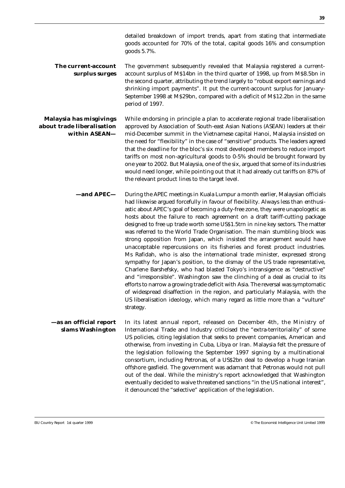**The current-account surplus surges** The government subsequently revealed that Malaysia registered a currentaccount surplus of M\$14bn in the third quarter of 1998, up from M\$8.5bn in the second quarter, attributing the trend largely to "robust export earnings and shrinking import payments". It put the current-account surplus for January-September 1998 at M\$29bn, compared with a deficit of M\$12.2bn in the same period of 1997.

**Malaysia has misgivings about trade liberalisation within ASEAN—** While endorsing in principle a plan to accelerate regional trade liberalisation approved by Association of South-east Asian Nations (ASEAN) leaders at their mid-December summit in the Vietnamese capital Hanoi, Malaysia insisted on the need for "flexibility" in the case of "sensitive" products. The leaders agreed that the deadline for the bloc's six most developed members to reduce import tariffs on most non-agricultural goods to 0-5% should be brought forward by one year to 2002. But Malaysia, one of the six, argued that some of its industries would need longer, while pointing out that it had already cut tariffs on 87% of the relevant product lines to the target level.

> **—and APEC—** During the APEC meetings in Kuala Lumpur a month earlier, Malaysian officials had likewise argued forcefully in favour of flexibility. Always less than enthusiastic about APEC's goal of becoming a duty-free zone, they were unapologetic as hosts about the failure to reach agreement on a draft tariff-cutting package designed to free up trade worth some US\$1.5trn in nine key sectors. The matter was referred to the World Trade Organisation. The main stumbling block was strong opposition from Japan, which insisted the arrangement would have unacceptable repercussions on its fisheries and forest product industries. Ms Rafidah, who is also the international trade minister, expressed strong sympathy for Japan's position, to the dismay of the US trade representative, Charlene Barshefsky, who had blasted Tokyo's intransigence as "destructive" and "irresponsible". Washington saw the clinching of a deal as crucial to its efforts to narrow a growing trade deficit with Asia. The reversal was symptomatic of widespread disaffection in the region, and particularly Malaysia, with the US liberalisation ideology, which many regard as little more than a "vulture" strategy.

**—as an official report slams Washington** In its latest annual report, released on December 4th, the Ministry of International Trade and Industry criticised the "extra-territoriality" of some US policies, citing legislation that seeks to prevent companies, American and otherwise, from investing in Cuba, Libya or Iran. Malaysia felt the pressure of the legislation following the September 1997 signing by a multinational consortium, including Petronas, of a US\$2bn deal to develop a huge Iranian offshore gasfield. The government was adamant that Petronas would not pull out of the deal. While the ministry's report acknowledged that Washington eventually decided to waive threatened sanctions "in the US national interest", it denounced the "selective" application of the legislation.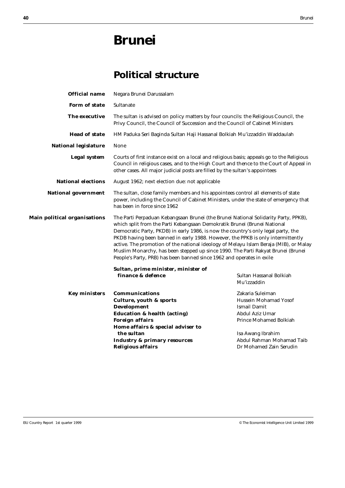## **Brunei**

### **Political structure**

| <b>Official name</b>                | Negara Brunei Darussalam                                                                                                                                                                                                                                                                                                                                                                                                                                                                                                                                                                      |                                                                                                               |
|-------------------------------------|-----------------------------------------------------------------------------------------------------------------------------------------------------------------------------------------------------------------------------------------------------------------------------------------------------------------------------------------------------------------------------------------------------------------------------------------------------------------------------------------------------------------------------------------------------------------------------------------------|---------------------------------------------------------------------------------------------------------------|
| <b>Form of state</b>                | Sultanate                                                                                                                                                                                                                                                                                                                                                                                                                                                                                                                                                                                     |                                                                                                               |
| The executive                       | The sultan is advised on policy matters by four councils: the Religious Council, the<br>Privy Council, the Council of Succession and the Council of Cabinet Ministers                                                                                                                                                                                                                                                                                                                                                                                                                         |                                                                                                               |
| <b>Head of state</b>                | HM Paduka Seri Baginda Sultan Haji Hassanal Bolkiah Mu'izzaddin Waddaulah                                                                                                                                                                                                                                                                                                                                                                                                                                                                                                                     |                                                                                                               |
| <b>National legislature</b>         | None                                                                                                                                                                                                                                                                                                                                                                                                                                                                                                                                                                                          |                                                                                                               |
| <b>Legal system</b>                 | Courts of first instance exist on a local and religious basis; appeals go to the Religious<br>Council in religious cases, and to the High Court and thence to the Court of Appeal in<br>other cases. All major judicial posts are filled by the sultan's appointees                                                                                                                                                                                                                                                                                                                           |                                                                                                               |
| <b>National elections</b>           | August 1962; next election due: not applicable                                                                                                                                                                                                                                                                                                                                                                                                                                                                                                                                                |                                                                                                               |
| <b>National government</b>          | The sultan, close family members and his appointees control all elements of state<br>power, including the Council of Cabinet Ministers, under the state of emergency that<br>has been in force since 1962                                                                                                                                                                                                                                                                                                                                                                                     |                                                                                                               |
| <b>Main political organisations</b> | The Parti Perpaduan Kebangsaan Brunei (the Brunei National Solidarity Party, PPKB),<br>which split from the Parti Kebangsaan Demokratik Brunei (Brunei National<br>Democratic Party, PKDB) in early 1986, is now the country's only legal party, the<br>PKDB having been banned in early 1988. However, the PPKB is only intermittently<br>active. The promotion of the national ideology of Melayu Islam Beraja (MIB), or Malay<br>Muslim Monarchy, has been stepped up since 1990. The Parti Rakyat Brunei (Brunei<br>People's Party, PRB) has been banned since 1962 and operates in exile |                                                                                                               |
|                                     | Sultan, prime minister, minister of                                                                                                                                                                                                                                                                                                                                                                                                                                                                                                                                                           |                                                                                                               |
|                                     | finance & defence                                                                                                                                                                                                                                                                                                                                                                                                                                                                                                                                                                             | Sultan Hassanal Bolkiah<br>Mu'izzaddin                                                                        |
| <b>Key ministers</b>                | <b>Communications</b><br><b>Culture, youth &amp; sports</b><br><b>Development</b><br><b>Education &amp; health (acting)</b><br><b>Foreign affairs</b>                                                                                                                                                                                                                                                                                                                                                                                                                                         | Zakaria Suleiman<br>Hussein Mohamad Yosof<br>Ismail Damit<br>Abdul Aziz Umar<br><b>Prince Mohamed Bolkiah</b> |
|                                     | Home affairs & special adviser to<br>the sultan<br><b>Industry &amp; primary resources</b><br><b>Religious affairs</b>                                                                                                                                                                                                                                                                                                                                                                                                                                                                        | Isa Awang Ibrahim<br>Abdul Rahman Mohamad Taib<br>Dr Mohamed Zain Serudin                                     |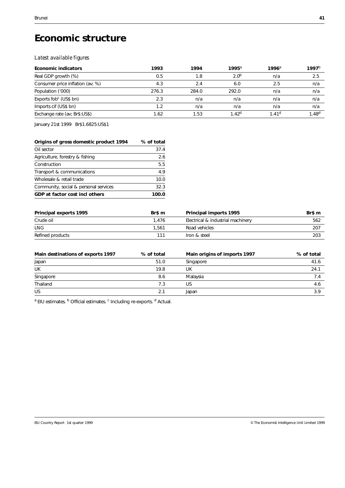## **Economic structure**

#### *Latest available figures*

| <b>Economic indicators</b>         | 1993  | 1994  | $1995^{\circ}$    | $1996^{\circ}$    | 1997 <sup>b</sup> |
|------------------------------------|-------|-------|-------------------|-------------------|-------------------|
| Real GDP growth (%)                | 0.5   | 1.8   | 2.0 <sup>b</sup>  | n/a               | 2.5               |
| Consumer price inflation (av; %)   | 4.3   | 2.4   | 6.0               | 2.5               | n/a               |
| Population ('000)                  | 276.3 | 284.0 | 292.0             | n/a               | n/a               |
| Exports fob <sup>c</sup> (US\$ bn) | 2.3   | n/a   | n/a               | n/a               | n/a               |
| Imports cif (US\$ bn)              | 1.2   | n/a   | n/a               | n/a               | n/a               |
| Exchange rate (av; Br\$:US\$)      | 1.62  | 1.53  | $1.42^{\text{d}}$ | 1.41 <sup>d</sup> | $1.48^{d}$        |

January 21st 1999 Br\$1.6825:US\$1

| Origins of gross domestic product 1994 | % of total |
|----------------------------------------|------------|
| Oil sector                             | 37.4       |
| Agriculture, forestry & fishing        | 2.6        |
| Construction                           | 5.5        |
| Transport & communications             | 4.9        |
| Wholesale & retail trade               | 10.0       |
| Community, social & personal services  | 32.3       |
| GDP at factor cost incl others         | 100.0      |

| <b>Principal exports 1995</b> | Br\$ m | <b>Principal imports 1995</b>     | Br\$ m |
|-------------------------------|--------|-----------------------------------|--------|
| Crude oil                     | 1,476  | Electrical & industrial machinery | 562    |
| <b>LNG</b>                    | 1.561  | Road vehicles                     | 207    |
| Refined products              | 111    | Iron & steel                      | 203    |

| Main destinations of exports 1997 | % of total | Main origins of imports 1997 | % of total |
|-----------------------------------|------------|------------------------------|------------|
| Japan                             | 51.0       | Singapore                    | 41.6       |
| UK                                | 19.8       | UK                           | 24.1       |
| Singapore                         | 8.6        | Malavsia                     | 7.4        |
| Thailand                          | 7.3        | US                           | 4.6        |
| US                                | 2.1        | Japan                        | 3.9        |

<sup>a</sup> EIU estimates. <sup>b</sup> Official estimates. <sup>c</sup> Including re-exports. <sup>d</sup> Actual.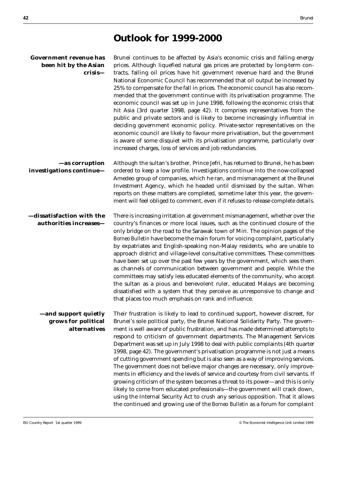### **Outlook for 1999-2000**

| <b>Government revenue has</b> Brun |      |
|------------------------------------|------|
| <b>been hit by the Asian</b> price |      |
| crisis—                            | trac |
|                                    | Nati |

nei continues to be affected by Asia's economic crisis and falling energy es. Although liquefied natural gas prices are protected by long-term conts, falling oil prices have hit government revenue hard and the Brunei ional Economic Council has recommended that oil output be increased by 25% to compensate for the fall in prices. The economic council has also recommended that the government continue with its privatisation programme. The economic council was set up in June 1998, following the economic crisis that hit Asia (3rd quarter 1998, page 42). It comprises representatives from the public and private sectors and is likely to become increasingly influential in deciding government economic policy. Private-sector representatives on the economic council are likely to favour more privatisation, but the government is aware of some disquiet with its privatisation programme, particularly over increased charges, loss of services and job redundancies.

**—as corruption investigations continue—** Although the sultan's brother, Prince Jefri, has returned to Brunei, he has been ordered to keep a low profile. Investigations continue into the now-collapsed Amedeo group of companies, which he ran, and mismanagement at the Brunei Investment Agency, which he headed until dismissed by the sultan. When reports on these matters are completed, sometime later this year, the government will feel obliged to comment, even if it refuses to release complete details.

**—dissatisfaction with the authorities increases—** There is increasing irritation at government mismanagement, whether over the country's finances or more local issues, such as the continued closure of the only bridge on the road to the Sarawak town of Miri. The opinion pages of the *Borneo Bulletin* have become the main forum for voicing complaint, particularly by expatriates and English-speaking non-Malay residents, who are unable to approach district and village-level consultative committees. These committees have been set up over the past few years by the government, which sees them as channels of communication between government and people. While the committees may satisfy less educated elements of the community, who accept the sultan as a pious and benevolent ruler, educated Malays are becoming dissatisfied with a system that they perceive as unresponsive to change and that places too much emphasis on rank and influence.

**—and support quietly grows for political alternatives** Their frustration is likely to lead to continued support, however discreet, for Brunei's sole political party, the Brunei National Solidarity Party. The government is well aware of public frustration, and has made determined attempts to respond to criticism of government departments. The Management Services Department was set up in July 1998 to deal with public complaints (4th quarter 1998, page 42). The government's privatisation programme is not just a means of cutting government spending but is also seen as a way of improving services. The government does not believe major changes are necessary, only improvements in efficiency and the levels of service and courtesy from civil servants. If growing criticism of the system becomes a threat to its power—and this is only likely to come from educated professionals—the government will crack down, using the Internal Security Act to crush any serious opposition. That it allows the continued and growing use of the *Borneo Bulletin* as a forum for complaint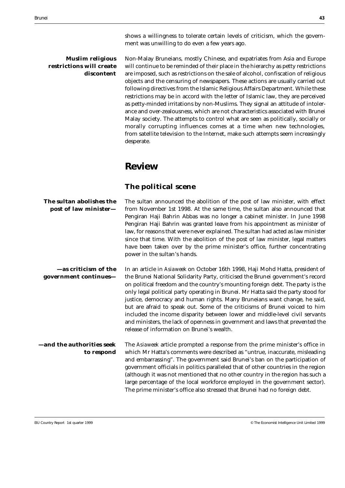shows a willingness to tolerate certain levels of criticism, which the government was unwilling to do even a few years ago.

#### **Muslim religious restrictions will create discontent**

Non-Malay Bruneians, mostly Chinese, and expatriates from Asia and Europe will continue to be reminded of their place in the hierarchy as petty restrictions are imposed, such as restrictions on the sale of alcohol, confiscation of religious objects and the censuring of newspapers. These actions are usually carried out following directives from the Islamic Religious Affairs Department. While these restrictions may be in accord with the letter of Islamic law, they are perceived as petty-minded irritations by non-Muslims. They signal an attitude of intolerance and over-zealousness, which are not characteristics associated with Brunei Malay society. The attempts to control what are seen as politically, socially or morally corrupting influences comes at a time when new technologies, from satellite television to the Internet, make such attempts seem increasingly desperate.

### **Review**

#### **The political scene**

| The sultan abolishes the<br>post of law minister- | The sultan announced the abolition of the post of law minister, with effect<br>from November 1st 1998. At the same time, the sultan also announced that<br>Pengiran Haji Bahrin Abbas was no longer a cabinet minister. In June 1998<br>Pengiran Haji Bahrin was granted leave from his appointment as minister of<br>law, for reasons that were never explained. The sultan had acted as law minister<br>since that time. With the abolition of the post of law minister, legal matters<br>have been taken over by the prime minister's office, further concentrating<br>power in the sultan's hands.                                                                                                            |
|---------------------------------------------------|-------------------------------------------------------------------------------------------------------------------------------------------------------------------------------------------------------------------------------------------------------------------------------------------------------------------------------------------------------------------------------------------------------------------------------------------------------------------------------------------------------------------------------------------------------------------------------------------------------------------------------------------------------------------------------------------------------------------|
| —as criticism of the<br>government continues-     | In an article in Asiaweek on October 16th 1998, Haji Mohd Hatta, president of<br>the Brunei National Solidarity Party, criticised the Brunei government's record<br>on political freedom and the country's mounting foreign debt. The party is the<br>only legal political party operating in Brunei. Mr Hatta said the party stood for<br>justice, democracy and human rights. Many Bruneians want change, he said,<br>but are afraid to speak out. Some of the criticisms of Brunei voiced to him<br>included the income disparity between lower and middle-level civil servants<br>and ministers, the lack of openness in government and laws that prevented the<br>release of information on Brunei's wealth. |
| —and the authorities seek<br>to respond           | The Asiaweek article prompted a response from the prime minister's office in<br>which Mr Hatta's comments were described as "untrue, inaccurate, misleading<br>and embarrassing". The government said Brunei's ban on the participation of<br>government officials in politics paralleled that of other countries in the region<br>(although it was not mentioned that no other country in the region has such a<br>large percentage of the local workforce employed in the government sector).<br>The prime minister's office also stressed that Brunei had no foreign debt.                                                                                                                                     |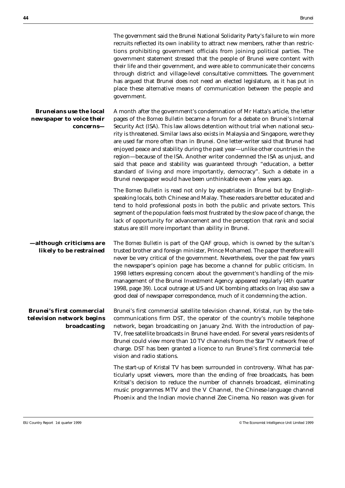|                                                                               | The government said the Brunei National Solidarity Party's failure to win more<br>recruits reflected its own inability to attract new members, rather than restric-<br>tions prohibiting government officials from joining political parties. The<br>government statement stressed that the people of Brunei were content with<br>their life and their government, and were able to communicate their concerns<br>through district and village-level consultative committees. The government<br>has argued that Brunei does not need an elected legislature, as it has put in<br>place these alternative means of communication between the people and<br>government.                                                                                                                                                  |
|-------------------------------------------------------------------------------|------------------------------------------------------------------------------------------------------------------------------------------------------------------------------------------------------------------------------------------------------------------------------------------------------------------------------------------------------------------------------------------------------------------------------------------------------------------------------------------------------------------------------------------------------------------------------------------------------------------------------------------------------------------------------------------------------------------------------------------------------------------------------------------------------------------------|
| <b>Bruneians use the local</b><br>newspaper to voice their<br>concerns—       | A month after the government's condemnation of Mr Hatta's article, the letter<br>pages of the Borneo Bulletin became a forum for a debate on Brunei's Internal<br>Security Act (ISA). This law allows detention without trial when national secu-<br>rity is threatened. Similar laws also exists in Malaysia and Singapore, were they<br>are used far more often than in Brunei. One letter-writer said that Brunei had<br>enjoyed peace and stability during the past year-unlike other countries in the<br>region-because of the ISA. Another writer condemned the ISA as unjust, and<br>said that peace and stability was guaranteed through "education, a better<br>standard of living and more importantly, democracy". Such a debate in a<br>Brunei newspaper would have been unthinkable even a few years ago. |
|                                                                               | The Borneo Bulletin is read not only by expatriates in Brunei but by English-<br>speaking locals, both Chinese and Malay. These readers are better educated and<br>tend to hold professional posts in both the public and private sectors. This<br>segment of the population feels most frustrated by the slow pace of change, the<br>lack of opportunity for advancement and the perception that rank and social<br>status are still more important than ability in Brunei.                                                                                                                                                                                                                                                                                                                                           |
| -although criticisms are<br>likely to be restrained                           | The Borneo Bulletin is part of the QAF group, which is owned by the sultan's<br>trusted brother and foreign minister, Prince Mohamed. The paper therefore will<br>never be very critical of the government. Nevertheless, over the past few years<br>the newspaper's opinion page has become a channel for public criticism. In<br>1998 letters expressing concern about the government's handling of the mis-<br>management of the Brunei Investment Agency appeared regularly (4th quarter<br>1998, page 39). Local outrage at US and UK bombing attacks on Iraq also saw a<br>good deal of newspaper correspondence, much of it condemning the action.                                                                                                                                                              |
| <b>Brunei's first commercial</b><br>television network begins<br>broadcasting | Brunei's first commercial satellite television channel, Kristal, run by the tele-<br>communications firm DST, the operator of the country's mobile telephone<br>network, began broadcasting on January 2nd. With the introduction of pay-<br>TV, free satellite broadcasts in Brunei have ended. For several years residents of<br>Brunei could view more than 10 TV channels from the Star TV network free of<br>charge. DST has been granted a licence to run Brunei's first commercial tele-<br>vision and radio stations.                                                                                                                                                                                                                                                                                          |
|                                                                               | The start-up of Kristal TV has been surrounded in controversy. What has par-<br>ticularly upset viewers, more than the ending of free broadcasts, has been<br>Kritsal's decision to reduce the number of channels broadcast, eliminating<br>music programmes MTV and the V Channel, the Chinese-language channel<br>Phoenix and the Indian movie channel Zee Cinema. No reason was given for                                                                                                                                                                                                                                                                                                                                                                                                                           |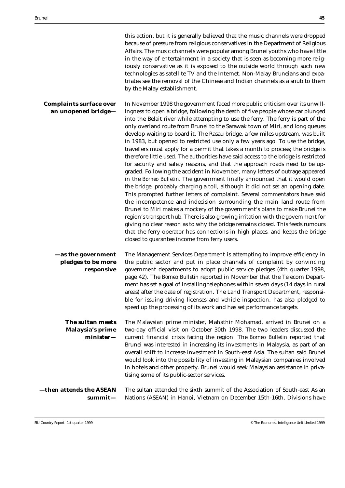|                                                       | this action, but it is generally believed that the music channels were dropped<br>because of pressure from religious conservatives in the Department of Religious<br>Affairs. The music channels were popular among Brunei youths who have little<br>in the way of entertainment in a society that is seen as becoming more relig-<br>iously conservative as it is exposed to the outside world through such new<br>technologies as satellite TV and the Internet. Non-Malay Bruneians and expa-<br>triates see the removal of the Chinese and Indian channels as a snub to them<br>by the Malay establishment.                                                                                                                                                                                                                                                                                                                                                                                                                                                                                                                                                                                                                                                                                                                                                                                                                                                                                                                                              |
|-------------------------------------------------------|--------------------------------------------------------------------------------------------------------------------------------------------------------------------------------------------------------------------------------------------------------------------------------------------------------------------------------------------------------------------------------------------------------------------------------------------------------------------------------------------------------------------------------------------------------------------------------------------------------------------------------------------------------------------------------------------------------------------------------------------------------------------------------------------------------------------------------------------------------------------------------------------------------------------------------------------------------------------------------------------------------------------------------------------------------------------------------------------------------------------------------------------------------------------------------------------------------------------------------------------------------------------------------------------------------------------------------------------------------------------------------------------------------------------------------------------------------------------------------------------------------------------------------------------------------------|
| <b>Complaints surface over</b><br>an unopened bridge- | In November 1998 the government faced more public criticism over its unwill-<br>ingness to open a bridge, following the death of five people whose car plunged<br>into the Belait river while attempting to use the ferry. The ferry is part of the<br>only overland route from Brunei to the Sarawak town of Miri, and long queues<br>develop waiting to board it. The Rasau bridge, a few miles upstream, was built<br>in 1983, but opened to restricted use only a few years ago. To use the bridge,<br>travellers must apply for a permit that takes a month to process; the bridge is<br>therefore little used. The authorities have said access to the bridge is restricted<br>for security and safety reasons, and that the approach roads need to be up-<br>graded. Following the accident in November, many letters of outrage appeared<br>in the Borneo Bulletin. The government finally announced that it would open<br>the bridge, probably charging a toll, although it did not set an opening date.<br>This prompted further letters of complaint. Several commentators have said<br>the incompetence and indecision surrounding the main land route from<br>Brunei to Miri makes a mockery of the government's plans to make Brunei the<br>region's transport hub. There is also growing irritation with the government for<br>giving no clear reason as to why the bridge remains closed. This feeds rumours<br>that the ferry operator has connections in high places, and keeps the bridge<br>closed to guarantee income from ferry users. |
| -as the government                                    | The Management Services Department is attempting to improve efficiency in                                                                                                                                                                                                                                                                                                                                                                                                                                                                                                                                                                                                                                                                                                                                                                                                                                                                                                                                                                                                                                                                                                                                                                                                                                                                                                                                                                                                                                                                                    |
| pledges to be more<br>responsive                      | the public sector and put in place channels of complaint by convincing<br>government departments to adopt public service pledges (4th quarter 1998,<br>page 42). The Borneo Bulletin reported in November that the Telecom Depart-<br>ment has set a goal of installing telephones within seven days (14 days in rural<br>areas) after the date of registration. The Land Transport Department, responsi-<br>ble for issuing driving licenses and vehicle inspection, has also pledged to<br>speed up the processing of its work and has set performance targets.                                                                                                                                                                                                                                                                                                                                                                                                                                                                                                                                                                                                                                                                                                                                                                                                                                                                                                                                                                                            |
| The sultan meets<br>Malaysia's prime<br>$minister-$   | The Malaysian prime minister, Mahathir Mohamad, arrived in Brunei on a<br>two-day official visit on October 30th 1998. The two leaders discussed the<br>current financial crisis facing the region. The Borneo Bulletin reported that<br>Brunei was interested in increasing its investments in Malaysia, as part of an<br>overall shift to increase investment in South-east Asia. The sultan said Brunei<br>would look into the possibility of investing in Malaysian companies involved<br>in hotels and other property. Brunei would seek Malaysian assistance in priva-<br>tising some of its public-sector services.                                                                                                                                                                                                                                                                                                                                                                                                                                                                                                                                                                                                                                                                                                                                                                                                                                                                                                                                   |
| then attends the ASEAN-<br>summit—                    | The sultan attended the sixth summit of the Association of South-east Asian<br>Nations (ASEAN) in Hanoi, Vietnam on December 15th-16th. Divisions have                                                                                                                                                                                                                                                                                                                                                                                                                                                                                                                                                                                                                                                                                                                                                                                                                                                                                                                                                                                                                                                                                                                                                                                                                                                                                                                                                                                                       |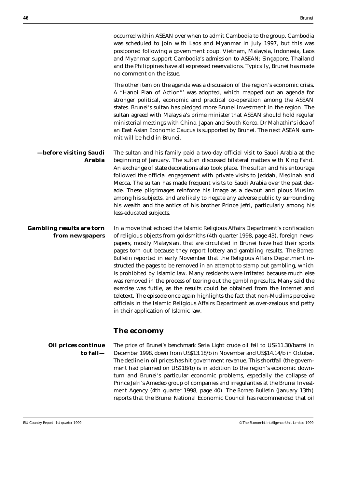occurred within ASEAN over when to admit Cambodia to the group. Cambodia was scheduled to join with Laos and Myanmar in July 1997, but this was postponed following a government coup. Vietnam, Malaysia, Indonesia, Laos and Myanmar support Cambodia's admission to ASEAN; Singapore, Thailand and the Philippines have all expressed reservations. Typically, Brunei has made no comment on the issue.

The other item on the agenda was a discussion of the region's economic crisis. A "Hanoi Plan of Action"' was adopted, which mapped out an agenda for stronger political, economic and practical co-operation among the ASEAN states. Brunei's sultan has pledged more Brunei investment in the region. The sultan agreed with Malaysia's prime minister that ASEAN should hold regular ministerial meetings with China, Japan and South Korea. Dr Mahathir's idea of an East Asian Economic Caucus is supported by Brunei. The next ASEAN summit will be held in Brunei.

**—before visiting Saudi Arabia** The sultan and his family paid a two-day official visit to Saudi Arabia at the beginning of January. The sultan discussed bilateral matters with King Fahd. An exchange of state decorations also took place. The sultan and his entourage followed the official engagement with private visits to Jeddah, Medinah and Mecca. The sultan has made frequent visits to Saudi Arabia over the past decade. These pilgrimages reinforce his image as a devout and pious Muslim among his subjects, and are likely to negate any adverse publicity surrounding his wealth and the antics of his brother Prince Jefri, particularly among his less-educated subjects.

**Gambling results are torn from newspapers** In a move that echoed the Islamic Religious Affairs Department's confiscation of religious objects from goldsmiths (4th quarter 1998, page 43), foreign newspapers, mostly Malaysian, that are circulated in Brunei have had their sports pages torn out because they report lottery and gambling results. The *Borneo Bulletin* reported in early November that the Religious Affairs Department instructed the pages to be removed in an attempt to stamp out gambling, which is prohibited by Islamic law. Many residents were irritated because much else was removed in the process of tearing out the gambling results. Many said the exercise was futile, as the results could be obtained from the Internet and teletext. The episode once again highlights the fact that non-Muslims perceive officials in the Islamic Religious Affairs Department as over-zealous and petty in their application of Islamic law.

#### **The economy**

**Oil prices continue to fall—** The price of Brunei's benchmark Seria Light crude oil fell to US\$11.30/barrel in December 1998, down from US\$13.18/b in November and US\$14.14/b in October. The decline in oil prices has hit government revenue. This shortfall (the government had planned on US\$18/b) is in addition to the region's economic downturn and Brunei's particular economic problems, especially the collapse of Prince Jefri's Amedeo group of companies and irregularities at the Brunei Investment Agency (4th quarter 1998, page 40). The *Borneo Bulletin* (January 13th) reports that the Brunei National Economic Council has recommended that oil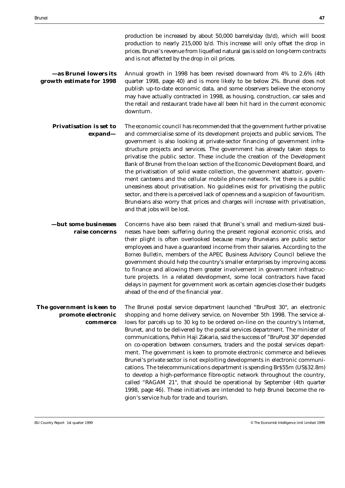production be increased by about 50,000 barrels/day (b/d), which will boost production to nearly 215,000 b/d. This increase will only offset the drop in prices. Brunei's revenue from liquefied natural gas is sold on long-term contracts and is not affected by the drop in oil prices.

**—as Brunei lowers its growth estimate for 1998** Annual growth in 1998 has been revised downward from 4% to 2.6% (4th quarter 1998, page 40) and is more likely to be below 2%. Brunei does not publish up-to-date economic data, and some observers believe the economy may have actually contracted in 1998, as housing, construction, car sales and the retail and restaurant trade have all been hit hard in the current economic downturn.

**Privatisation is set to expand—** The economic council has recommended that the government further privatise and commercialise some of its development projects and public services. The government is also looking at private-sector financing of government infrastructure projects and services. The government has already taken steps to privatise the public sector. These include the creation of the Development Bank of Brunei from the loan section of the Economic Development Board, and the privatisation of solid waste collection, the government abattoir, government canteens and the cellular mobile phone network. Yet there is a public uneasiness about privatisation. No guidelines exist for privatising the public sector, and there is a perceived lack of openness and a suspicion of favouritism. Bruneians also worry that prices and charges will increase with privatisation, and that jobs will be lost.

**—but some businesses raise concerns** Concerns have also been raised that Brunei's small and medium-sized businesses have been suffering during the present regional economic crisis, and their plight is often overlooked because many Bruneians are public sector employees and have a guaranteed income from their salaries. According to the *Borneo Bulletin*, members of the APEC Business Advisory Council believe the government should help the country's smaller enterprises by improving access to finance and allowing them greater involvement in government infrastructure projects. In a related development, some local contractors have faced delays in payment for government work as certain agencies close their budgets ahead of the end of the financial year.

**The government is keen to promote electronic commerce** The Brunei postal service department launched "BruPost 30", an electronic shopping and home delivery service, on November 5th 1998. The service allows for parcels up to 30 kg to be ordered on-line on the country's Internet, Brunet, and to be delivered by the postal services department. The minister of communications, Pehin Haji Zakaria, said the success of "BruPost 30" depended on co-operation between consumers, traders and the postal services department. The government is keen to promote electronic commerce and believes Brunei's private sector is not exploiting developments in electronic communications. The telecommunications department is spending Br\$55m (US\$32.8m) to develop a high-performance fibre-optic network throughout the country, called "RAGAM 21", that should be operational by September (4th quarter 1998, page 46). These initiatives are intended to help Brunei become the region's service hub for trade and tourism.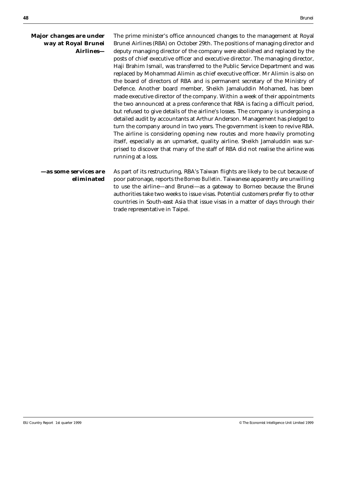| Major changes are under<br>way at Royal Brunei<br>Airlines- | The prime minister's office announced changes to the management at Royal<br>Brunei Airlines (RBA) on October 29th. The positions of managing director and<br>deputy managing director of the company were abolished and replaced by the<br>posts of chief executive officer and executive director. The managing director,<br>Haji Brahim Ismail, was transferred to the Public Service Department and was<br>replaced by Mohammad Alimin as chief executive officer. Mr Alimin is also on<br>the board of directors of RBA and is permanent secretary of the Ministry of<br>Defence. Another board member, Sheikh Jamaluddin Mohamed, has been<br>made executive director of the company. Within a week of their appointments<br>the two announced at a press conference that RBA is facing a difficult period,<br>but refused to give details of the airline's losses. The company is undergoing a<br>detailed audit by accountants at Arthur Anderson. Management has pledged to<br>turn the company around in two years. The government is keen to revive RBA.<br>The airline is considering opening new routes and more heavily promoting<br>itself, especially as an upmarket, quality airline. Sheikh Jamaluddin was sur-<br>prised to discover that many of the staff of RBA did not realise the airline was<br>running at a loss. |
|-------------------------------------------------------------|--------------------------------------------------------------------------------------------------------------------------------------------------------------------------------------------------------------------------------------------------------------------------------------------------------------------------------------------------------------------------------------------------------------------------------------------------------------------------------------------------------------------------------------------------------------------------------------------------------------------------------------------------------------------------------------------------------------------------------------------------------------------------------------------------------------------------------------------------------------------------------------------------------------------------------------------------------------------------------------------------------------------------------------------------------------------------------------------------------------------------------------------------------------------------------------------------------------------------------------------------------------------------------------------------------------------------------------------|
| —as some services are<br>eliminated                         | As part of its restructuring, RBA's Taiwan flights are likely to be cut because of<br>poor patronage, reports the Borneo Bulletin. Taiwanese apparently are unwilling<br>to use the airline-and Brunei-as a gateway to Borneo because the Brunei<br>authorities take two weeks to issue visas. Potential customers prefer fly to other<br>countries in South-east Asia that issue visas in a matter of days through their<br>trade representative in Taipei.                                                                                                                                                                                                                                                                                                                                                                                                                                                                                                                                                                                                                                                                                                                                                                                                                                                                               |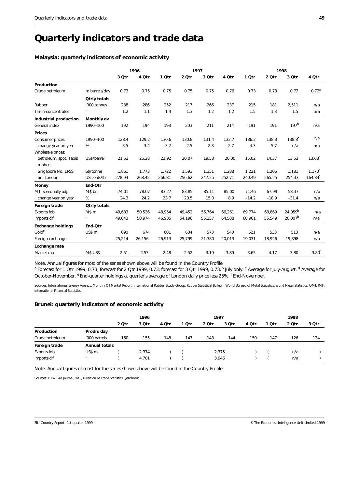### **Quarterly indicators and trade data**

#### **Malaysia: quarterly indicators of economic activity**

|                              |                           | 1996   |        | 1997   |        |        |        | 1998    |         |                     |                     |
|------------------------------|---------------------------|--------|--------|--------|--------|--------|--------|---------|---------|---------------------|---------------------|
|                              |                           | 3 Otr  | 4 Otr  | 1 Otr  | 2 Otr  | 3 Otr  | 4 Otr  | 1 Otr   | 2 Otr   | 3 Otr               | 4 Otr               |
| Production                   |                           |        |        |        |        |        |        |         |         |                     |                     |
| Crude petroleum              | m barrels/day             | 0.73   | 0.75   | 0.75   | 0.75   | 0.75   | 0.76   | 0.73    | 0.73    | 0.72                | 0.72 <sup>a</sup>   |
|                              | <b>Qtrly totals</b>       |        |        |        |        |        |        |         |         |                     |                     |
| Rubber                       | '000 tonnes               | 288    | 286    | 252    | 217    | 266    | 237    | 215     | 181     | 2,511               | n/a                 |
| Tin-in-concentrates          | $\boldsymbol{\mathit{u}}$ | 1.2    | 1.1    | 1.4    | 1.3    | 1.2    | 1.2    | 1.5     | 1.3     | 1.5                 | n/a                 |
| <b>Industrial production</b> | Monthly av                |        |        |        |        |        |        |         |         |                     |                     |
| General index                | 1990=100                  | 192    | 194    | 193    | 203    | 211    | 214    | 191     | 191     | 197 <sup>b</sup>    | n/a                 |
| <b>Prices</b>                |                           |        |        |        |        |        |        |         |         |                     |                     |
| Consumer prices              | 1990=100                  | 128.4  | 129.2  | 130.6  | 130.8  | 131.4  | 132.7  | 136.2   | 138.3   | $138.8^{c}$         | n/a                 |
| change year on year          | $\%$                      | 3.5    | 3.4    | 3.2    | 2.5    | 2.3    | 2.7    | 4.3     | 5.7     | n/a                 | n/a                 |
| Wholesale prices:            |                           |        |        |        |        |        |        |         |         |                     |                     |
| petroleum, spot, Tapis       | US\$/barrel               | 21.53  | 25.28  | 23.92  | 20.07  | 19.53  | 20.00  | 15.02   | 14.37   | 13.53               | $13.68^{d}$         |
| rubber,                      |                           |        |        |        |        |        |        |         |         |                     |                     |
| Singapore No. 1RSS           | S\$/tonne                 | 1,861  | 1,773  | 1,722  | 1,593  | 1,351  | 1,288  | 1,221   | 1,206   | 1,181               | 1.170 <sup>d</sup>  |
| tin, London                  | US cents/lb               | 278.94 | 268.42 | 266.81 | 256.62 | 247.25 | 252.71 | 240.49  | 265.25  | 254.33              | 164.84 <sup>d</sup> |
| <b>Money</b>                 | End-Otr                   |        |        |        |        |        |        |         |         |                     |                     |
| M1, seasonally adj:          | M\$ bn                    | 74.01  | 78.07  | 83.27  | 83.85  | 85.11  | 85.00  | 71.46   | 67.99   | 58.37               | n/a                 |
| change year on year          | %                         | 24.3   | 24.2   | 23.7   | 20.5   | 15.0   | 8.9    | $-14.2$ | $-18.9$ | $-31.4$             | n/a                 |
| Foreign trade                | <b>Qtrly totals</b>       |        |        |        |        |        |        |         |         |                     |                     |
| Exports fob                  | M\$ m                     | 49.683 | 50.536 | 48.954 | 49,452 | 56.764 | 66.261 | 69.774  | 68.869  | 24.059 <sup>b</sup> | n/a                 |
| Imports cif                  | $\pmb{\mathit{u}}$        | 49,043 | 50.974 | 46,935 | 54,196 | 55,257 | 64,588 | 60.961  | 55,549  | $20,007^b$          | n/a                 |
| <b>Exchange holdings</b>     | End-Otr                   |        |        |        |        |        |        |         |         |                     |                     |
| Golde                        | US\$ m                    | 690    | 674    | 601    | 604    | 573    | 540    | 521     | 533     | 513                 | n/a                 |
| Foreign exchange             | $\boldsymbol{\mathit{u}}$ | 25,214 | 26,156 | 26,913 | 25,799 | 21,380 | 20,013 | 19,031  | 18,926  | 19,898              | n/a                 |
| <b>Exchange rate</b>         |                           |        |        |        |        |        |        |         |         |                     |                     |
| Market rate                  | <b>M\$:US\$</b>           | 2.51   | 2.53   | 2.48   | 2.52   | 3.19   | 3.89   | 3.65    | 4.17    | 3.80                | 3.80 <sup>t</sup>   |

Note. Annual figures for most of the series shown above will be found in the Country Profile.

<sup>a</sup> Forecast for 1 Qtr 1999, 0.73; forecast for 2 Qtr 1999, 0.73; forecast for 3 Qtr 1999, 0.73.<sup>b</sup> July only. <sup>c</sup> Average for July-August. <sup>d</sup> Average for October-November. <sup>e</sup> End-quarter holdings at quarter's average of London daily price less 25%. <sup>f</sup> End-November.

Sources: International Energy Agency, *Monthly Oil Market Report*; International Rubber Study Group, *Rubber Statistical Bulletin*; World Bureau of Metal Statistics, *World Metal Statistics*; OMI; IMF, *International Financial Statistics*.

#### **Brunei: quarterly indicators of economic activity**

|                 |                      | 1996  |       |       | 1997  |       |       |       | 1998  |       |       |
|-----------------|----------------------|-------|-------|-------|-------|-------|-------|-------|-------|-------|-------|
|                 |                      | 2 Qtr | 3 Otr | 4 Qtr | 1 Qtr | 2 Qtr | 3 Qtr | 4 Qtr | 1 Qtr | 2 Qtr | 3 Otr |
| Production      | Prodn/day            |       |       |       |       |       |       |       |       |       |       |
| Crude petroleum | '000 barrels         | 160   | 155   | 148   | 147   | 143   | 144   | 150   | 147   | 126   | 134   |
| Foreign trade   | <b>Annual totals</b> |       |       |       |       |       |       |       |       |       |       |
| Exports fob     | US\$ m               |       | 2,374 |       |       |       | 2,375 |       |       | n/a   |       |
| Imports cif     | $\boldsymbol{\mu}$   |       | 4.701 |       |       |       | 3,946 |       |       | n/a   |       |

Note. Annual figures of most for the series shown above will be found in the Country Profile.

Sources: *Oil & Gas Journal*; IMF, *Direction of Trade Statistics*, yearbook.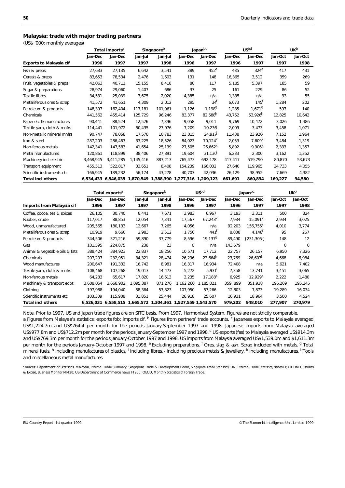#### **Malaysia: trade with major trading partners**

(US\$ '000; monthly averages)

|                                | Total imports <sup>a</sup> |                                                             | Singapore <sup>b</sup> |         | Japan <sup>bc</sup> |                     | $\mathsf{u}\mathsf{s}^\mathsf{bd}$ |                       | UK <sub>p</sub> |         |
|--------------------------------|----------------------------|-------------------------------------------------------------|------------------------|---------|---------------------|---------------------|------------------------------------|-----------------------|-----------------|---------|
|                                | Jan-Dec                    | Jan-Dec                                                     | Jan-Jul                | Jan-Jul | Jan-Dec             | Jan-Dec             | Jan-Dec                            | Jan-Dec               | Jan-Oct         | Jan-Oct |
| <b>Exports to Malaysia cif</b> | 1996                       | 1997                                                        | 1997                   | 1998    | 1996                | 1997                | 1996                               | 1997                  | 1997            | 1998    |
| Fish & preps                   | 27,633                     | 27,135                                                      | 6,642                  | 3,541   | 389                 | $452^e$             | 435                                | $324^e$               | 417             | 431     |
| Cereals & preps                | 83,653                     | 78,534                                                      | 2,476                  | 1,603   | 131                 | 148                 | 16,365                             | 3,512                 | 359             | 269     |
| Fruit, vegetables & preps      | 42,063                     | 40,711                                                      | 15,155                 | 8,418   | 80                  | 117                 | 5,185                              | 5,397                 | 185             | 59      |
| Sugar & preparations           | 28,974                     | 29,060                                                      | 1,407                  | 686     | 37                  | 25                  | 161                                | 229                   | 86              | 52      |
| <b>Textile fibres</b>          | 34,531                     | 25,039                                                      | 3,675                  | 2,020   | 4,385               | n/a                 | 1,335                              | n/a                   | 93              | 55      |
| Metalliferous ores & scrap     | 41,572                     | 41,651                                                      | 4,309                  | 2,012   | 295                 | 34 <sup>†</sup>     | 6,673                              | 145 <sup>t</sup>      | 1.284           | 202     |
| Petroleum & products           | 148,397                    | 162,404                                                     | 117,181                | 101,061 | 1,126               | 1,1989              | 1,285                              | 1,671 <sup>9</sup>    | 597             | 140     |
| Chemicals                      | 441,562                    | 455,414                                                     | 125,729                | 96,246  | 83,377              | 82,588 <sup>h</sup> | 43,762                             | $53,926$ <sup>h</sup> | 12,825          | 10,642  |
| Paper etc & manufactures       | 90,441                     | 88,524                                                      | 12,526                 | 7,396   | 9,058               | 9,011               | 9,769                              | 10,472                | 3,026           | 1,486   |
| Textile yarn, cloth & mnfrs    | 114,441                    | 101,972                                                     | 50,435                 | 23,976  | 7,209               | 10,236              | 2,009                              | $3,473$ <sup>1</sup>  | 3,458           | 1,071   |
| Non-metallic mineral mnfrs     | 90,747                     | 78.058                                                      | 17,578                 | 10,783  | 23,015              | 24,917              | 11,438                             | 23,920                | 7,152           | 1,964   |
| Iron & steel                   | 287,203                    | 286,463                                                     | 33,225                 | 18,526  | 84,023              | 70,124 <sup>k</sup> | 2,053                              | 7,609 <sup>K</sup>    | 3,484           | 1,319   |
| Non-ferrous metals             | 142,341                    | 147,583                                                     | 41.654                 | 25,139  | 27,505              | $26,662^k$          | 5,892                              | $9,906^{k}$           | 2,333           | 1,357   |
| Metal manufactures             | 120,861                    | 118.899                                                     | 38,406                 | 27,891  | 19,604              | 31,130              | 6,233                              | 2,300 <sup>1</sup>    | 3,162           | 1,352   |
| Machinery incl electric        | 3,468,945                  | 3,411,285                                                   | 1,145,416              | 887,213 | 765,473             | 692,178             | 417,417                            | 519,790               | 80,870          | 53,673  |
| Transport equipment            | 455,513                    | 522,817                                                     | 33,651                 | 8,408   | 154,239             | 166,032             | 27,640                             | 119,965               | 24,733          | 4.055   |
| Scientific instruments etc     | 166,945                    | 189,232                                                     | 56,174                 | 43,278  | 40,703              | 42,036              | 26,129                             | 38,952                | 7,669           | 4,382   |
| <b>Total incl others</b>       |                            | 6,534,433 6,546,035 1,870,549 1,388,390 1,277,316 1,209,123 |                        |         |                     |                     | 661,691                            | 860,894               | 169,227         | 94,580  |

|                                | Total exports <sup>a</sup> |           | Singapore <sup>b</sup> |                                                             | US <sub>pd</sub> |                       | Japan <sup>bc</sup> |                        | UK <sub>p</sub> |         |
|--------------------------------|----------------------------|-----------|------------------------|-------------------------------------------------------------|------------------|-----------------------|---------------------|------------------------|-----------------|---------|
|                                | Jan-Dec                    | Jan-Dec   | Jan-Jul                | Jan-Jul                                                     | Jan-Dec          | Jan-Dec               | Jan-Dec             | Jan-Dec                | Jan-Oct         | Jan-Oct |
| Imports from Malaysia cif      | 1996                       | 1997      | 1997                   | 1998                                                        | 1996             | 1997                  | 1996                | 1997                   | 1997            | 1998    |
| Coffee, cocoa, tea & spices    | 26,105                     | 30,740    | 8,441                  | 7,671                                                       | 3,983            | 6,967                 | 3,193               | 3,311                  | 500             | 324     |
| Rubber, crude                  | 117,017                    | 88,853    | 12,054                 | 7,341                                                       | 17,567           | $67,243^k$            | 7,934               | $15,091^k$             | 2,934           | 3,025   |
| Wood, unmanufactured           | 205,565                    | 180,133   | 12,667                 | 7,265                                                       | 4,056            | n/a                   | 92,203              | $156,755$ <sup>K</sup> | 4,010           | 3,774   |
| Metalliferous ores & scrap     | 10,919                     | 9,660     | 2,983                  | 2,512                                                       | 1,750            | $441$ <sup>T</sup>    | 8,838               | $4,148$ <sup>r</sup>   | 95              | 267     |
| Petroleum & products           | 344,506                    | 321,216   | 59,890                 | 37,779                                                      | 8,596            | 19,137 <sup>g</sup>   | 89,490              | } 231,305{             | 148             | 12      |
| Gas                            | 181,595                    | 224,875   | 238                    | 23                                                          | 0                | n/a                   | 143,679             |                        | 0               | 0       |
| Animal & vegetable oils & fats | 388,424                    | 384,923   | 22,837                 | 18,256                                                      | 10,571           | 17,712                | 22,757              | 26,157                 | 6,950           | 7,326   |
| Chemicals                      | 207,207                    | 232,951   | 34,321                 | 28,474                                                      | 26,296           | 23,664 <sup>n</sup>   | 23,769              | 26,607 <sup>n</sup>    | 4,668           | 5,984   |
| Wood manufactures              | 200,647                    | 191,332   | 16,742                 | 8,981                                                       | 16,317           | 16,934                | 72,408              | n/a                    | 5,621           | 7,402   |
| Textile yarn, cloth & mnfrs    | 108,468                    | 107,268   | 19,013                 | 14,473                                                      | 5,272            | 5,931                 | 7,358               | $13,741$ <sup>1</sup>  | 3,451           | 3,065   |
| Non-ferrous metals             | 64,283                     | 65,617    | 17,820                 | 16,613                                                      | 3,235            | $17,188$ <sup>K</sup> | 6,925               | $12,929^{k}$           | 2,222           | 1,480   |
| Machinery & transport eqpt     | 3,608,054                  | 3,668,902 | 1,095,387              | 871,276                                                     | 1,162,260        | 1,185,021             | 359, 899            | 351,938                | 196,269         | 195,245 |
| Clothing                       | 197,988                    | 194,040   | 58,364                 | 53,823                                                      | 107,950          | 57,266                | 12,803              | 7,873                  | 19,289          | 16,034  |
| Scientific instruments etc     | 103,309                    | 115,908   | 31,851                 | 25,444                                                      | 26,918           | 25,607                | 16,931              | 18,964                 | 3,500           | 4,524   |
| <b>Total incl others</b>       |                            |           |                        | 6,526,031 6,558,515 1,665,572 1,304,361 1,527,559 1,543,570 |                  |                       | 979,202             | 948,010                | 277,907         | 270,979 |

Note. Prior to 1997, US and Japan trade figures are on SITC basis. From 1997, Harmonised System. Figures are not strictly comparable. a Figures from Malaysia's statistics: exports fob; imports cif. <sup>b</sup> Figures from partners' trade accounts. <sup>c</sup> Japanese exports to Malaysia averaged US\$1,224.7m and US\$764.4 per month for the periods January-September 1997 and 1998. Japanese imports from Malaysia averaged US\$977.8m and US\$712.2m per month for the periods January-September 1997 and 1998.<sup>d</sup> US exports (fas) to Malaysia averaged US\$914.3m and US\$769.3m per month for the periods January-October 1997 and 1998. US imports from Malaysia averaged US\$1,539.0m and \$1,611.3m per month for the periods January-October 1997 and 1998. <sup>e</sup> Excluding preparations. <sup>f</sup> Ores, slag & ash. Scrap included with metals. <sup>g</sup> Total mineral fuels. <sup>h</sup> Including manufactures of plastics. <sup>i</sup> Including fibres. <sup>j</sup> Including precious metals & jewellery. <sup>k</sup> Including manufactures. <sup>I</sup> Tools and miscellaneous metal manufactures.

Sources: Department of Statistics, Malaysia, *External Trade Summary*; Singapore Trade & Development Board, *Singapore Trade Statistics*; UN, *External Trade Statistics,* series D; UK HM Customs & Excise, *Business Monitor MM20*; US Department of Commerce news, *FT900*; OECD, *Monthly Statistics of Foreign Trade*.